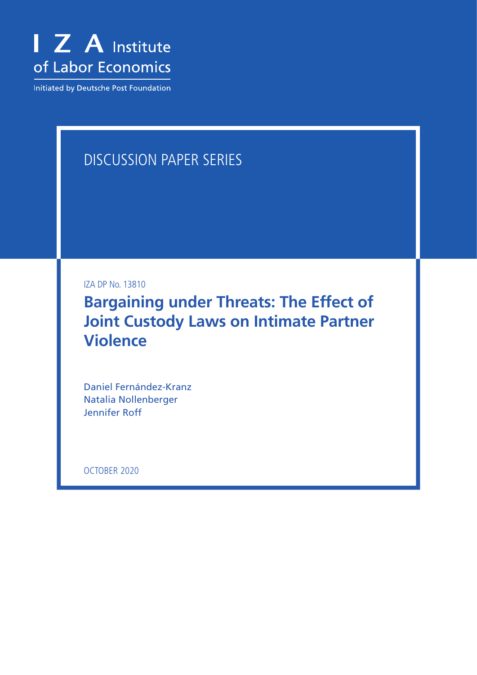

Initiated by Deutsche Post Foundation

# DISCUSSION PAPER SERIES

IZA DP No. 13810

**Bargaining under Threats: The Effect of Joint Custody Laws on Intimate Partner Violence**

Daniel Fernández-Kranz Natalia Nollenberger Jennifer Roff

OCTOBER 2020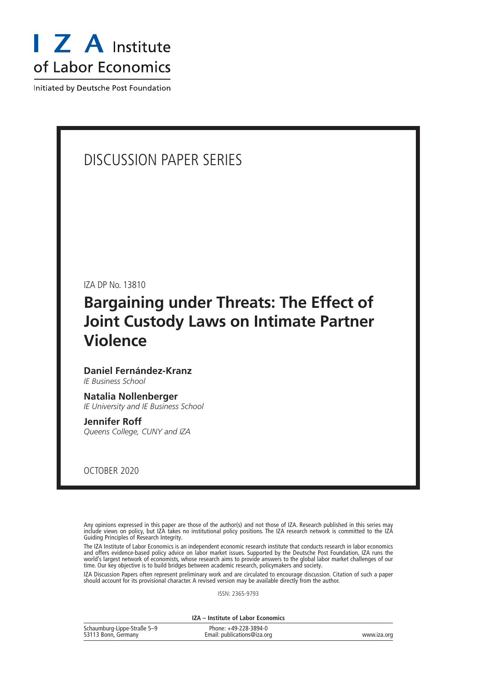

Initiated by Deutsche Post Foundation

# DISCUSSION PAPER SERIES

IZA DP No. 13810

# **Bargaining under Threats: The Effect of Joint Custody Laws on Intimate Partner Violence**

# **Daniel Fernández-Kranz**

*IE Business School*

# **Natalia Nollenberger**

*IE University and IE Business School*

#### **Jennifer Roff** *Queens College, CUNY and IZA*

OCTOBER 2020

Any opinions expressed in this paper are those of the author(s) and not those of IZA. Research published in this series may include views on policy, but IZA takes no institutional policy positions. The IZA research network is committed to the IZA Guiding Principles of Research Integrity.

The IZA Institute of Labor Economics is an independent economic research institute that conducts research in labor economics and offers evidence-based policy advice on labor market issues. Supported by the Deutsche Post Foundation, IZA runs the world's largest network of economists, whose research aims to provide answers to the global labor market challenges of our time. Our key objective is to build bridges between academic research, policymakers and society.

IZA Discussion Papers often represent preliminary work and are circulated to encourage discussion. Citation of such a paper should account for its provisional character. A revised version may be available directly from the author.

ISSN: 2365-9793

**IZA – Institute of Labor Economics**

| Schaumburg-Lippe-Straße 5-9 | Phone: +49-228-3894-0       |             |
|-----------------------------|-----------------------------|-------------|
| 53113 Bonn, Germany         | Email: publications@iza.org | www.iza.org |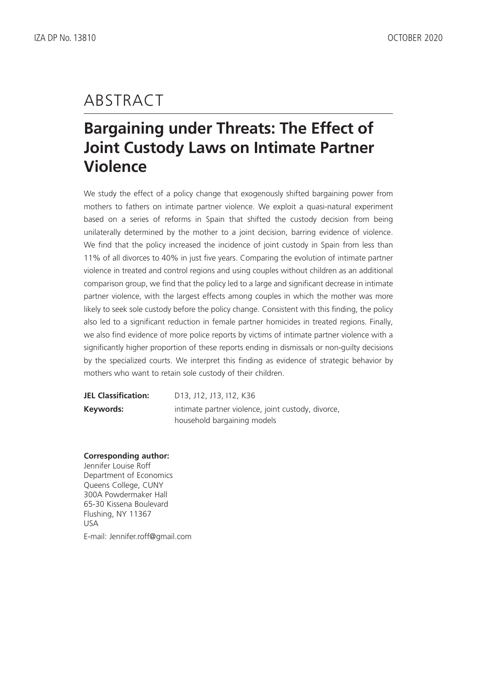# ABSTRACT

# **Bargaining under Threats: The Effect of Joint Custody Laws on Intimate Partner Violence**

We study the effect of a policy change that exogenously shifted bargaining power from mothers to fathers on intimate partner violence. We exploit a quasi-natural experiment based on a series of reforms in Spain that shifted the custody decision from being unilaterally determined by the mother to a joint decision, barring evidence of violence. We find that the policy increased the incidence of joint custody in Spain from less than 11% of all divorces to 40% in just five years. Comparing the evolution of intimate partner violence in treated and control regions and using couples without children as an additional comparison group, we find that the policy led to a large and significant decrease in intimate partner violence, with the largest effects among couples in which the mother was more likely to seek sole custody before the policy change. Consistent with this finding, the policy also led to a significant reduction in female partner homicides in treated regions. Finally, we also find evidence of more police reports by victims of intimate partner violence with a significantly higher proportion of these reports ending in dismissals or non-guilty decisions by the specialized courts. We interpret this finding as evidence of strategic behavior by mothers who want to retain sole custody of their children.

**JEL Classification:** D13, J12, J13, I12, K36 **Keywords:** intimate partner violence, joint custody, divorce, household bargaining models

# **Corresponding author:**

Jennifer Louise Roff Department of Economics Queens College, CUNY 300A Powdermaker Hall 65-30 Kissena Boulevard Flushing, NY 11367 USA E-mail: Jennifer.roff@gmail.com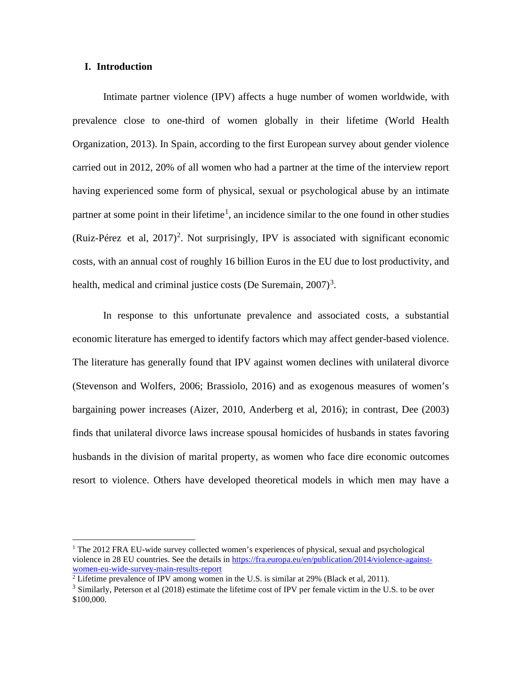#### **I. Introduction**

Intimate partner violence (IPV) affects a huge number of women worldwide, with prevalence close to one-third of women globally in their lifetime (World Health Organization, 2013). In Spain, according to the first European survey about gender violence carried out in 2012, 20% of all women who had a partner at the time of the interview report having experienced some form of physical, sexual or psychological abuse by an intimate partner at some point in their lifetime<sup>[1](#page-3-0)</sup>, an incidence similar to the one found in other studies [\(Ruiz-Pérez](https://www.ncbi.nlm.nih.gov/pubmed/?term=Ruiz-P%C3%A9rez%20I%5BAuthor%5D&cauthor=true&cauthor_uid=27394929) et al,  $2017$  $2017$ )<sup>2</sup>. Not surprisingly, IPV is associated with significant economic costs, with an annual cost of roughly 16 billion Euros in the EU due to lost productivity, and health, medical and criminal justice costs (De Suremain,  $2007$ )<sup>[3](#page-3-2)</sup>.

In response to this unfortunate prevalence and associated costs, a substantial economic literature has emerged to identify factors which may affect gender-based violence. The literature has generally found that IPV against women declines with unilateral divorce (Stevenson and Wolfers, 2006; Brassiolo, 2016) and as exogenous measures of women's bargaining power increases (Aizer, 2010, Anderberg et al, 2016); in contrast, Dee (2003) finds that unilateral divorce laws increase spousal homicides of husbands in states favoring husbands in the division of marital property, as women who face dire economic outcomes resort to violence. Others have developed theoretical models in which men may have a

<span id="page-3-0"></span> $1$  The 2012 FRA EU-wide survey collected women's experiences of physical, sexual and psychological violence in 28 EU countries. See the details in [https://fra.europa.eu/en/publication/2014/violence-against](https://fra.europa.eu/en/publication/2014/violence-against-women-eu-wide-survey-main-results-report)[women-eu-wide-survey-main-results-report](https://fra.europa.eu/en/publication/2014/violence-against-women-eu-wide-survey-main-results-report)

<span id="page-3-2"></span><span id="page-3-1"></span><sup>2</sup> Lifetime prevalence of IPV among women in the U.S. is similar at 29% (Black et al, 2011).

 $3$  Similarly, Peterson et al (2018) estimate the lifetime cost of IPV per female victim in the U.S. to be over \$100,000.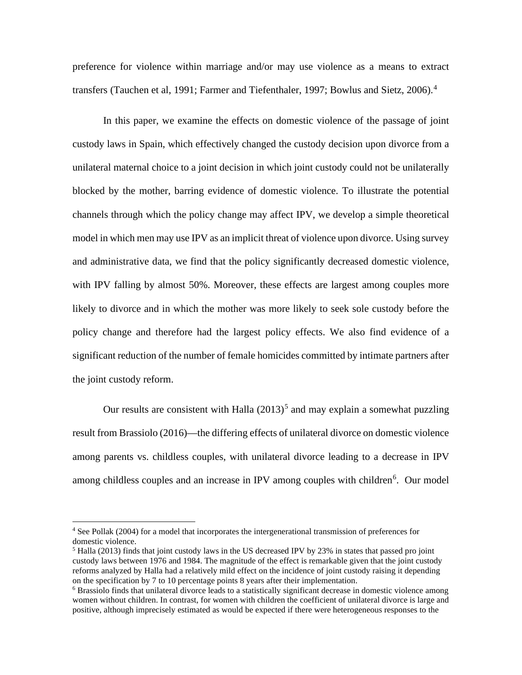preference for violence within marriage and/or may use violence as a means to extract transfers (Tauchen et al, 1991; Farmer and Tiefenthaler, 1997; Bowlus and Sietz, 2006).<sup>[4](#page-4-0)</sup>

In this paper, we examine the effects on domestic violence of the passage of joint custody laws in Spain, which effectively changed the custody decision upon divorce from a unilateral maternal choice to a joint decision in which joint custody could not be unilaterally blocked by the mother, barring evidence of domestic violence. To illustrate the potential channels through which the policy change may affect IPV, we develop a simple theoretical model in which men may use IPV as an implicit threat of violence upon divorce. Using survey and administrative data, we find that the policy significantly decreased domestic violence, with IPV falling by almost 50%. Moreover, these effects are largest among couples more likely to divorce and in which the mother was more likely to seek sole custody before the policy change and therefore had the largest policy effects. We also find evidence of a significant reduction of the number of female homicides committed by intimate partners after the joint custody reform.

Our results are consistent with Halla  $(2013)^5$  $(2013)^5$  and may explain a somewhat puzzling result from Brassiolo (2016)—the differing effects of unilateral divorce on domestic violence among parents vs. childless couples, with unilateral divorce leading to a decrease in IPV among childless couples and an increase in IPV among couples with children<sup>[6](#page-4-2)</sup>. Our model

<span id="page-4-0"></span><sup>4</sup> See Pollak (2004) for a model that incorporates the intergenerational transmission of preferences for domestic violence.

<span id="page-4-1"></span><sup>&</sup>lt;sup>5</sup> Halla (2013) finds that joint custody laws in the US decreased IPV by 23% in states that passed pro joint custody laws between 1976 and 1984. The magnitude of the effect is remarkable given that the joint custody reforms analyzed by Halla had a relatively mild effect on the incidence of joint custody raising it depending on the specification by 7 to 10 percentage points 8 years after their implementation.

<span id="page-4-2"></span><sup>&</sup>lt;sup>6</sup> Brassiolo finds that unilateral divorce leads to a statistically significant decrease in domestic violence among women without children. In contrast, for women with children the coefficient of unilateral divorce is large and positive, although imprecisely estimated as would be expected if there were heterogeneous responses to the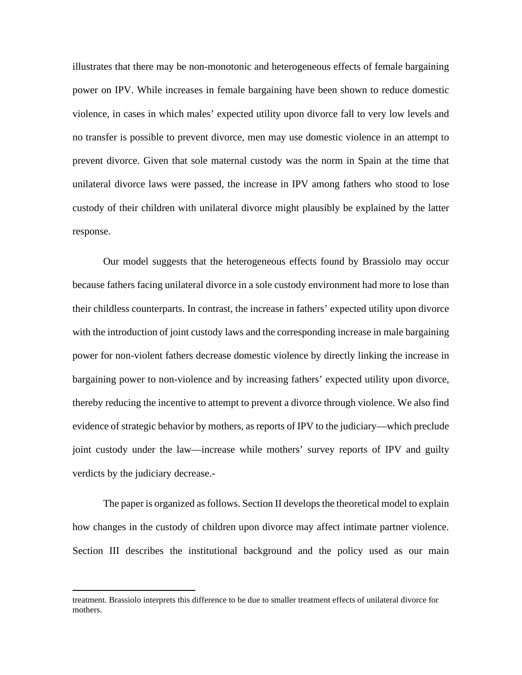illustrates that there may be non-monotonic and heterogeneous effects of female bargaining power on IPV. While increases in female bargaining have been shown to reduce domestic violence, in cases in which males' expected utility upon divorce fall to very low levels and no transfer is possible to prevent divorce, men may use domestic violence in an attempt to prevent divorce. Given that sole maternal custody was the norm in Spain at the time that unilateral divorce laws were passed, the increase in IPV among fathers who stood to lose custody of their children with unilateral divorce might plausibly be explained by the latter response.

Our model suggests that the heterogeneous effects found by Brassiolo may occur because fathers facing unilateral divorce in a sole custody environment had more to lose than their childless counterparts. In contrast, the increase in fathers' expected utility upon divorce with the introduction of joint custody laws and the corresponding increase in male bargaining power for non-violent fathers decrease domestic violence by directly linking the increase in bargaining power to non-violence and by increasing fathers' expected utility upon divorce, thereby reducing the incentive to attempt to prevent a divorce through violence. We also find evidence of strategic behavior by mothers, as reports of IPV to the judiciary—which preclude joint custody under the law—increase while mothers' survey reports of IPV and guilty verdicts by the judiciary decrease.-

The paper is organized as follows. Section II develops the theoretical model to explain how changes in the custody of children upon divorce may affect intimate partner violence. Section III describes the institutional background and the policy used as our main

treatment. Brassiolo interprets this difference to be due to smaller treatment effects of unilateral divorce for mothers.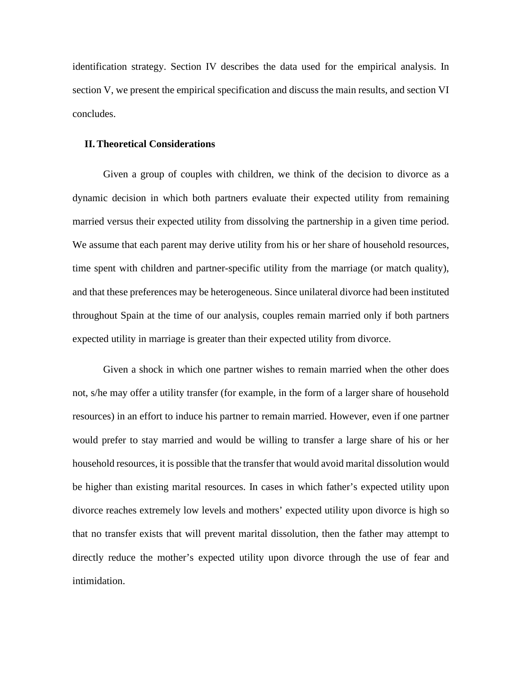identification strategy. Section IV describes the data used for the empirical analysis. In section V, we present the empirical specification and discuss the main results, and section VI concludes.

#### **II.Theoretical Considerations**

Given a group of couples with children, we think of the decision to divorce as a dynamic decision in which both partners evaluate their expected utility from remaining married versus their expected utility from dissolving the partnership in a given time period. We assume that each parent may derive utility from his or her share of household resources, time spent with children and partner-specific utility from the marriage (or match quality), and that these preferences may be heterogeneous. Since unilateral divorce had been instituted throughout Spain at the time of our analysis, couples remain married only if both partners expected utility in marriage is greater than their expected utility from divorce.

Given a shock in which one partner wishes to remain married when the other does not, s/he may offer a utility transfer (for example, in the form of a larger share of household resources) in an effort to induce his partner to remain married. However, even if one partner would prefer to stay married and would be willing to transfer a large share of his or her household resources, it is possible that the transfer that would avoid marital dissolution would be higher than existing marital resources. In cases in which father's expected utility upon divorce reaches extremely low levels and mothers' expected utility upon divorce is high so that no transfer exists that will prevent marital dissolution, then the father may attempt to directly reduce the mother's expected utility upon divorce through the use of fear and intimidation.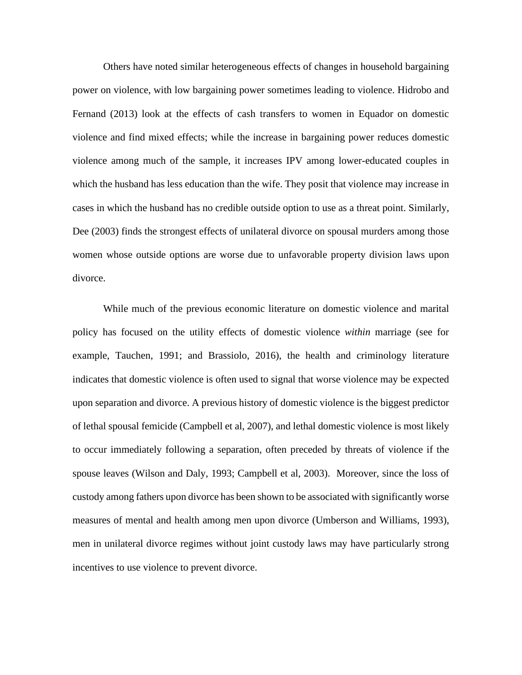Others have noted similar heterogeneous effects of changes in household bargaining power on violence, with low bargaining power sometimes leading to violence. Hidrobo and Fernand (2013) look at the effects of cash transfers to women in Equador on domestic violence and find mixed effects; while the increase in bargaining power reduces domestic violence among much of the sample, it increases IPV among lower-educated couples in which the husband has less education than the wife. They posit that violence may increase in cases in which the husband has no credible outside option to use as a threat point. Similarly, Dee (2003) finds the strongest effects of unilateral divorce on spousal murders among those women whose outside options are worse due to unfavorable property division laws upon divorce.

While much of the previous economic literature on domestic violence and marital policy has focused on the utility effects of domestic violence *within* marriage (see for example, Tauchen, 1991; and Brassiolo, 2016), the health and criminology literature indicates that domestic violence is often used to signal that worse violence may be expected upon separation and divorce. A previous history of domestic violence is the biggest predictor of lethal spousal femicide (Campbell et al, 2007), and lethal domestic violence is most likely to occur immediately following a separation, often preceded by threats of violence if the spouse leaves (Wilson and Daly, 1993; Campbell et al, 2003). Moreover, since the loss of custody among fathers upon divorce has been shown to be associated with significantly worse measures of mental and health among men upon divorce (Umberson and Williams, 1993), men in unilateral divorce regimes without joint custody laws may have particularly strong incentives to use violence to prevent divorce.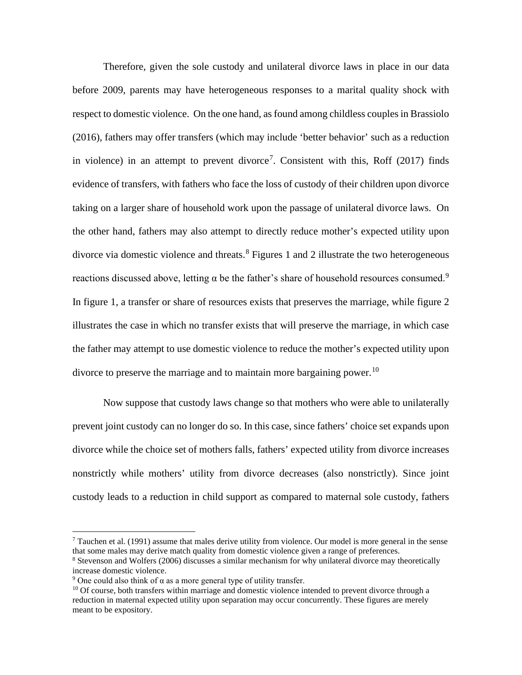Therefore, given the sole custody and unilateral divorce laws in place in our data before 2009, parents may have heterogeneous responses to a marital quality shock with respect to domestic violence. On the one hand, as found among childless couples in Brassiolo (2016), fathers may offer transfers (which may include 'better behavior' such as a reduction in violence) in an attempt to prevent divorce<sup>[7](#page-8-0)</sup>. Consistent with this, Roff  $(2017)$  finds evidence of transfers, with fathers who face the loss of custody of their children upon divorce taking on a larger share of household work upon the passage of unilateral divorce laws. On the other hand, fathers may also attempt to directly reduce mother's expected utility upon divorce via domestic violence and threats.<sup>[8](#page-8-1)</sup> Figures 1 and 2 illustrate the two heterogeneous reactions discussed above, letting α be the father's share of household resources consumed.<sup>[9](#page-8-2)</sup> In figure 1, a transfer or share of resources exists that preserves the marriage, while figure 2 illustrates the case in which no transfer exists that will preserve the marriage, in which case the father may attempt to use domestic violence to reduce the mother's expected utility upon divorce to preserve the marriage and to maintain more bargaining power.<sup>[10](#page-8-3)</sup>

Now suppose that custody laws change so that mothers who were able to unilaterally prevent joint custody can no longer do so. In this case, since fathers' choice set expands upon divorce while the choice set of mothers falls, fathers' expected utility from divorce increases nonstrictly while mothers' utility from divorce decreases (also nonstrictly). Since joint custody leads to a reduction in child support as compared to maternal sole custody, fathers

<span id="page-8-0"></span><sup>7</sup> Tauchen et al. (1991) assume that males derive utility from violence. Our model is more general in the sense that some males may derive match quality from domestic violence given a range of preferences.

<span id="page-8-1"></span><sup>8</sup> Stevenson and Wolfers (2006) discusses a similar mechanism for why unilateral divorce may theoretically increase domestic violence.

<span id="page-8-2"></span><sup>&</sup>lt;sup>9</sup> One could also think of  $\alpha$  as a more general type of utility transfer.

<span id="page-8-3"></span><sup>&</sup>lt;sup>10</sup> Of course, both transfers within marriage and domestic violence intended to prevent divorce through a reduction in maternal expected utility upon separation may occur concurrently. These figures are merely meant to be expository.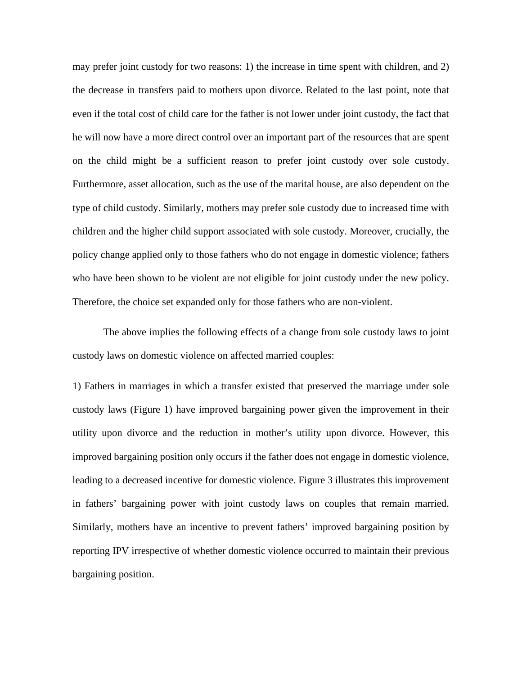may prefer joint custody for two reasons: 1) the increase in time spent with children, and 2) the decrease in transfers paid to mothers upon divorce. Related to the last point, note that even if the total cost of child care for the father is not lower under joint custody, the fact that he will now have a more direct control over an important part of the resources that are spent on the child might be a sufficient reason to prefer joint custody over sole custody. Furthermore, asset allocation, such as the use of the marital house, are also dependent on the type of child custody. Similarly, mothers may prefer sole custody due to increased time with children and the higher child support associated with sole custody. Moreover, crucially, the policy change applied only to those fathers who do not engage in domestic violence; fathers who have been shown to be violent are not eligible for joint custody under the new policy. Therefore, the choice set expanded only for those fathers who are non-violent.

The above implies the following effects of a change from sole custody laws to joint custody laws on domestic violence on affected married couples:

1) Fathers in marriages in which a transfer existed that preserved the marriage under sole custody laws (Figure 1) have improved bargaining power given the improvement in their utility upon divorce and the reduction in mother's utility upon divorce. However, this improved bargaining position only occurs if the father does not engage in domestic violence, leading to a decreased incentive for domestic violence. Figure 3 illustrates this improvement in fathers' bargaining power with joint custody laws on couples that remain married. Similarly, mothers have an incentive to prevent fathers' improved bargaining position by reporting IPV irrespective of whether domestic violence occurred to maintain their previous bargaining position.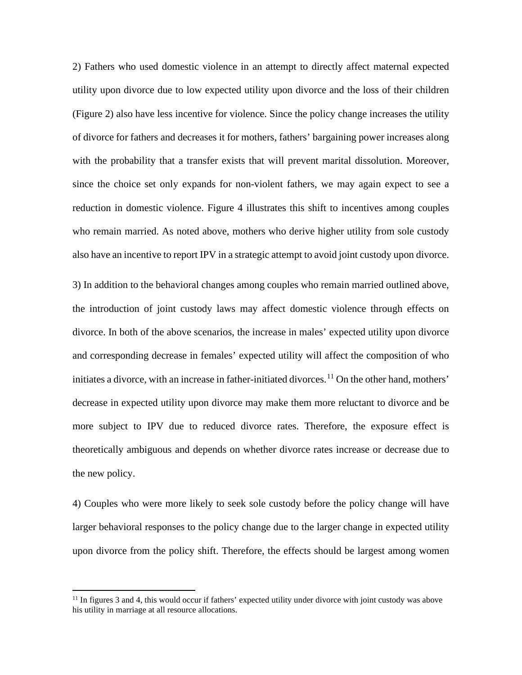2) Fathers who used domestic violence in an attempt to directly affect maternal expected utility upon divorce due to low expected utility upon divorce and the loss of their children (Figure 2) also have less incentive for violence. Since the policy change increases the utility of divorce for fathers and decreases it for mothers, fathers' bargaining power increases along with the probability that a transfer exists that will prevent marital dissolution. Moreover, since the choice set only expands for non-violent fathers, we may again expect to see a reduction in domestic violence. Figure 4 illustrates this shift to incentives among couples who remain married. As noted above, mothers who derive higher utility from sole custody also have an incentive to report IPV in a strategic attempt to avoid joint custody upon divorce.

3) In addition to the behavioral changes among couples who remain married outlined above, the introduction of joint custody laws may affect domestic violence through effects on divorce. In both of the above scenarios, the increase in males' expected utility upon divorce and corresponding decrease in females' expected utility will affect the composition of who initiates a divorce, with an increase in father-initiated divorces.<sup>[11](#page-10-0)</sup> On the other hand, mothers' decrease in expected utility upon divorce may make them more reluctant to divorce and be more subject to IPV due to reduced divorce rates. Therefore, the exposure effect is theoretically ambiguous and depends on whether divorce rates increase or decrease due to the new policy.

4) Couples who were more likely to seek sole custody before the policy change will have larger behavioral responses to the policy change due to the larger change in expected utility upon divorce from the policy shift. Therefore, the effects should be largest among women

<span id="page-10-0"></span><sup>&</sup>lt;sup>11</sup> In figures 3 and 4, this would occur if fathers' expected utility under divorce with joint custody was above his utility in marriage at all resource allocations.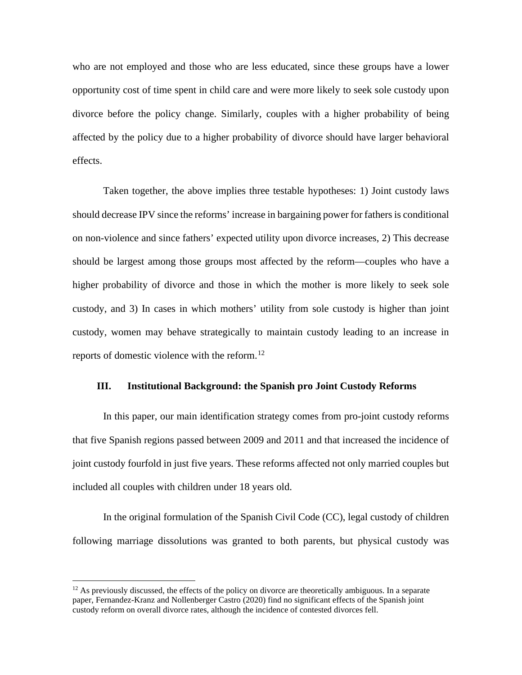who are not employed and those who are less educated, since these groups have a lower opportunity cost of time spent in child care and were more likely to seek sole custody upon divorce before the policy change. Similarly, couples with a higher probability of being affected by the policy due to a higher probability of divorce should have larger behavioral effects.

Taken together, the above implies three testable hypotheses: 1) Joint custody laws should decrease IPV since the reforms' increase in bargaining power for fathers is conditional on non-violence and since fathers' expected utility upon divorce increases, 2) This decrease should be largest among those groups most affected by the reform—couples who have a higher probability of divorce and those in which the mother is more likely to seek sole custody, and 3) In cases in which mothers' utility from sole custody is higher than joint custody, women may behave strategically to maintain custody leading to an increase in reports of domestic violence with the reform. $^{12}$  $^{12}$  $^{12}$ 

#### **III. Institutional Background: the Spanish pro Joint Custody Reforms**

In this paper, our main identification strategy comes from pro-joint custody reforms that five Spanish regions passed between 2009 and 2011 and that increased the incidence of joint custody fourfold in just five years. These reforms affected not only married couples but included all couples with children under 18 years old.

In the original formulation of the Spanish Civil Code (CC), legal custody of children following marriage dissolutions was granted to both parents, but physical custody was

<span id="page-11-0"></span><sup>&</sup>lt;sup>12</sup> As previously discussed, the effects of the policy on divorce are theoretically ambiguous. In a separate paper, Fernandez-Kranz and Nollenberger Castro (2020) find no significant effects of the Spanish joint custody reform on overall divorce rates, although the incidence of contested divorces fell.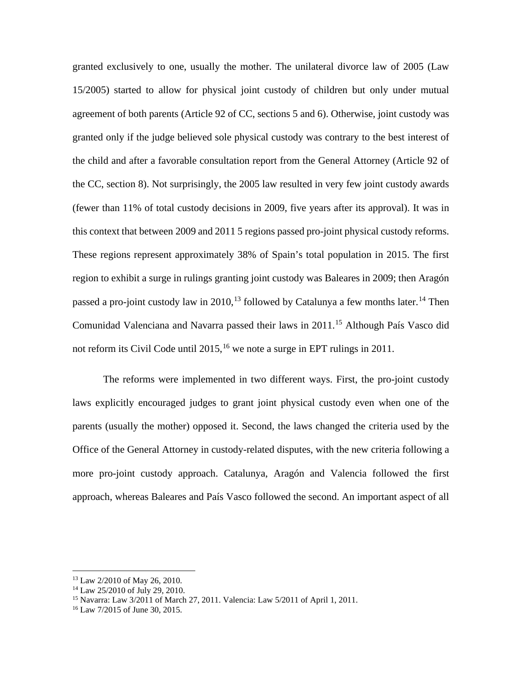granted exclusively to one, usually the mother. The unilateral divorce law of 2005 (Law 15/2005) started to allow for physical joint custody of children but only under mutual agreement of both parents (Article 92 of CC, sections 5 and 6). Otherwise, joint custody was granted only if the judge believed sole physical custody was contrary to the best interest of the child and after a favorable consultation report from the General Attorney (Article 92 of the CC, section 8). Not surprisingly, the 2005 law resulted in very few joint custody awards (fewer than 11% of total custody decisions in 2009, five years after its approval). It was in this context that between 2009 and 2011 5 regions passed pro-joint physical custody reforms. These regions represent approximately 38% of Spain's total population in 2015. The first region to exhibit a surge in rulings granting joint custody was Baleares in 2009; then Aragón passed a pro-joint custody law in 2010,<sup>[13](#page-12-0)</sup> followed by Catalunya a few months later.<sup>[14](#page-12-1)</sup> Then Comunidad Valenciana and Navarra passed their laws in 2011.[15](#page-12-2) Although País Vasco did not reform its Civil Code until  $2015$ , <sup>[16](#page-12-3)</sup> we note a surge in EPT rulings in 2011.

The reforms were implemented in two different ways. First, the pro-joint custody laws explicitly encouraged judges to grant joint physical custody even when one of the parents (usually the mother) opposed it. Second, the laws changed the criteria used by the Office of the General Attorney in custody-related disputes, with the new criteria following a more pro-joint custody approach. Catalunya, Aragón and Valencia followed the first approach, whereas Baleares and País Vasco followed the second. An important aspect of all

<span id="page-12-0"></span><sup>13</sup> Law 2/2010 of May 26, 2010.

<span id="page-12-1"></span><sup>14</sup> Law 25/2010 of July 29, 2010.

<span id="page-12-2"></span><sup>15</sup> Navarra: Law 3/2011 of March 27, 2011. Valencia: Law 5/2011 of April 1, 2011.

<span id="page-12-3"></span><sup>16</sup> Law 7/2015 of June 30, 2015.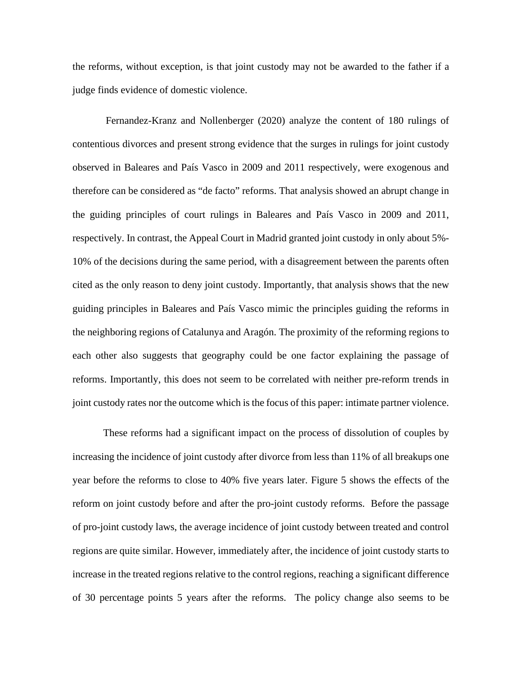the reforms, without exception, is that joint custody may not be awarded to the father if a judge finds evidence of domestic violence.

Fernandez-Kranz and Nollenberger (2020) analyze the content of 180 rulings of contentious divorces and present strong evidence that the surges in rulings for joint custody observed in Baleares and País Vasco in 2009 and 2011 respectively, were exogenous and therefore can be considered as "de facto" reforms. That analysis showed an abrupt change in the guiding principles of court rulings in Baleares and País Vasco in 2009 and 2011, respectively. In contrast, the Appeal Court in Madrid granted joint custody in only about 5%- 10% of the decisions during the same period, with a disagreement between the parents often cited as the only reason to deny joint custody. Importantly, that analysis shows that the new guiding principles in Baleares and País Vasco mimic the principles guiding the reforms in the neighboring regions of Catalunya and Aragón. The proximity of the reforming regions to each other also suggests that geography could be one factor explaining the passage of reforms. Importantly, this does not seem to be correlated with neither pre-reform trends in joint custody rates nor the outcome which is the focus of this paper: intimate partner violence.

These reforms had a significant impact on the process of dissolution of couples by increasing the incidence of joint custody after divorce from less than 11% of all breakups one year before the reforms to close to 40% five years later. Figure 5 shows the effects of the reform on joint custody before and after the pro-joint custody reforms. Before the passage of pro-joint custody laws, the average incidence of joint custody between treated and control regions are quite similar. However, immediately after, the incidence of joint custody starts to increase in the treated regions relative to the control regions, reaching a significant difference of 30 percentage points 5 years after the reforms. The policy change also seems to be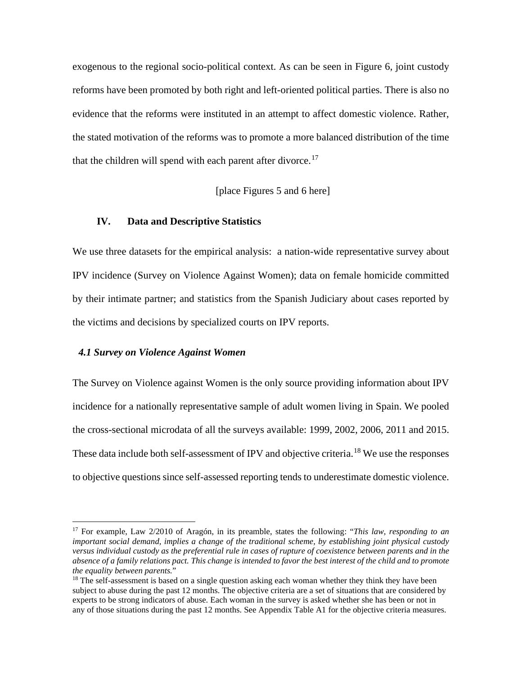exogenous to the regional socio-political context. As can be seen in Figure 6, joint custody reforms have been promoted by both right and left-oriented political parties. There is also no evidence that the reforms were instituted in an attempt to affect domestic violence. Rather, the stated motivation of the reforms was to promote a more balanced distribution of the time that the children will spend with each parent after divorce.<sup>[17](#page-14-0)</sup>

[place Figures 5 and 6 here]

#### **IV. Data and Descriptive Statistics**

We use three datasets for the empirical analysis: a nation-wide representative survey about IPV incidence (Survey on Violence Against Women); data on female homicide committed by their intimate partner; and statistics from the Spanish Judiciary about cases reported by the victims and decisions by specialized courts on IPV reports.

#### *4.1 Survey on Violence Against Women*

The Survey on Violence against Women is the only source providing information about IPV incidence for a nationally representative sample of adult women living in Spain. We pooled the cross-sectional microdata of all the surveys available: 1999, 2002, 2006, 2011 and 2015. These data include both self-assessment of IPV and objective criteria.<sup>[18](#page-14-1)</sup> We use the responses to objective questions since self-assessed reporting tends to underestimate domestic violence.

<span id="page-14-0"></span><sup>17</sup> For example, Law 2/2010 of Aragón, in its preamble, states the following: "*This law, responding to an important social demand, implies a change of the traditional scheme, by establishing joint physical custody versus individual custody as the preferential rule in cases of rupture of coexistence between parents and in the absence of a family relations pact. This change is intended to favor the best interest of the child and to promote the equality between parents.*"

<span id="page-14-1"></span><sup>&</sup>lt;sup>18</sup> The self-assessment is based on a single question asking each woman whether they think they have been subject to abuse during the past 12 months. The objective criteria are a set of situations that are considered by experts to be strong indicators of abuse. Each woman in the survey is asked whether she has been or not in any of those situations during the past 12 months. See Appendix Table A1 for the objective criteria measures.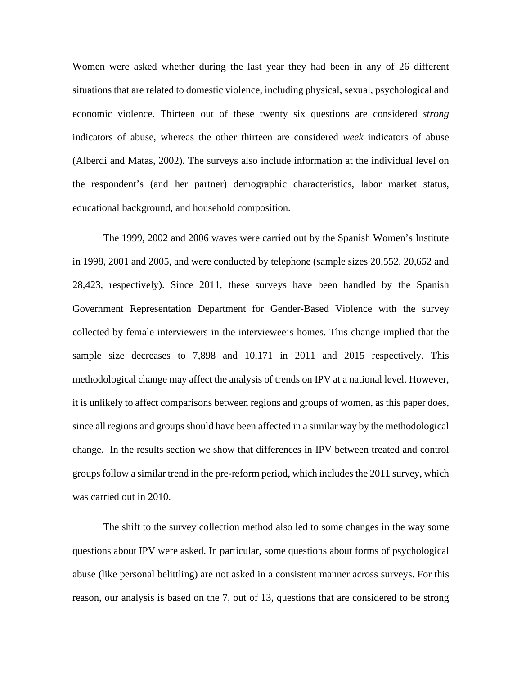Women were asked whether during the last year they had been in any of 26 different situations that are related to domestic violence, including physical, sexual, psychological and economic violence. Thirteen out of these twenty six questions are considered *strong* indicators of abuse, whereas the other thirteen are considered *week* indicators of abuse (Alberdi and Matas, 2002). The surveys also include information at the individual level on the respondent's (and her partner) demographic characteristics, labor market status, educational background, and household composition.

The 1999, 2002 and 2006 waves were carried out by the Spanish Women's Institute in 1998, 2001 and 2005, and were conducted by telephone (sample sizes 20,552, 20,652 and 28,423, respectively). Since 2011, these surveys have been handled by the Spanish Government Representation Department for Gender-Based Violence with the survey collected by female interviewers in the interviewee's homes. This change implied that the sample size decreases to 7,898 and 10,171 in 2011 and 2015 respectively. This methodological change may affect the analysis of trends on IPV at a national level. However, it is unlikely to affect comparisons between regions and groups of women, as this paper does, since all regions and groups should have been affected in a similar way by the methodological change. In the results section we show that differences in IPV between treated and control groups follow a similar trend in the pre-reform period, which includes the 2011 survey, which was carried out in 2010.

The shift to the survey collection method also led to some changes in the way some questions about IPV were asked. In particular, some questions about forms of psychological abuse (like personal belittling) are not asked in a consistent manner across surveys. For this reason, our analysis is based on the 7, out of 13, questions that are considered to be strong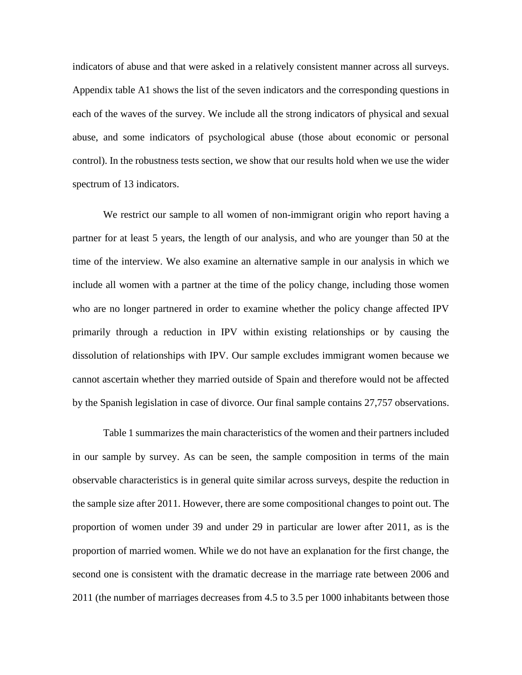indicators of abuse and that were asked in a relatively consistent manner across all surveys. Appendix table A1 shows the list of the seven indicators and the corresponding questions in each of the waves of the survey. We include all the strong indicators of physical and sexual abuse, and some indicators of psychological abuse (those about economic or personal control). In the robustness tests section, we show that our results hold when we use the wider spectrum of 13 indicators.

We restrict our sample to all women of non-immigrant origin who report having a partner for at least 5 years, the length of our analysis, and who are younger than 50 at the time of the interview. We also examine an alternative sample in our analysis in which we include all women with a partner at the time of the policy change, including those women who are no longer partnered in order to examine whether the policy change affected IPV primarily through a reduction in IPV within existing relationships or by causing the dissolution of relationships with IPV. Our sample excludes immigrant women because we cannot ascertain whether they married outside of Spain and therefore would not be affected by the Spanish legislation in case of divorce. Our final sample contains 27,757 observations.

Table 1 summarizes the main characteristics of the women and their partners included in our sample by survey. As can be seen, the sample composition in terms of the main observable characteristics is in general quite similar across surveys, despite the reduction in the sample size after 2011. However, there are some compositional changes to point out. The proportion of women under 39 and under 29 in particular are lower after 2011, as is the proportion of married women. While we do not have an explanation for the first change, the second one is consistent with the dramatic decrease in the marriage rate between 2006 and 2011 (the number of marriages decreases from 4.5 to 3.5 per 1000 inhabitants between those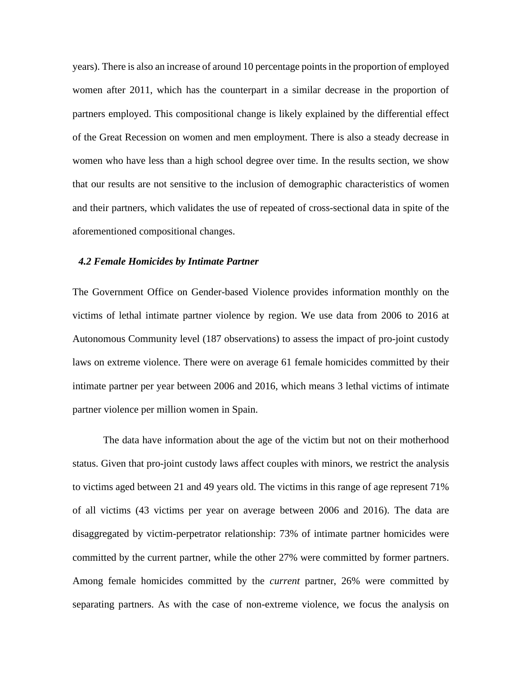years). There is also an increase of around 10 percentage points in the proportion of employed women after 2011, which has the counterpart in a similar decrease in the proportion of partners employed. This compositional change is likely explained by the differential effect of the Great Recession on women and men employment. There is also a steady decrease in women who have less than a high school degree over time. In the results section, we show that our results are not sensitive to the inclusion of demographic characteristics of women and their partners, which validates the use of repeated of cross-sectional data in spite of the aforementioned compositional changes.

#### *4.2 Female Homicides by Intimate Partner*

The Government Office on Gender-based Violence provides information monthly on the victims of lethal intimate partner violence by region. We use data from 2006 to 2016 at Autonomous Community level (187 observations) to assess the impact of pro-joint custody laws on extreme violence. There were on average 61 female homicides committed by their intimate partner per year between 2006 and 2016, which means 3 lethal victims of intimate partner violence per million women in Spain.

The data have information about the age of the victim but not on their motherhood status. Given that pro-joint custody laws affect couples with minors, we restrict the analysis to victims aged between 21 and 49 years old. The victims in this range of age represent 71% of all victims (43 victims per year on average between 2006 and 2016). The data are disaggregated by victim-perpetrator relationship: 73% of intimate partner homicides were committed by the current partner, while the other 27% were committed by former partners. Among female homicides committed by the *current* partner, 26% were committed by separating partners. As with the case of non-extreme violence, we focus the analysis on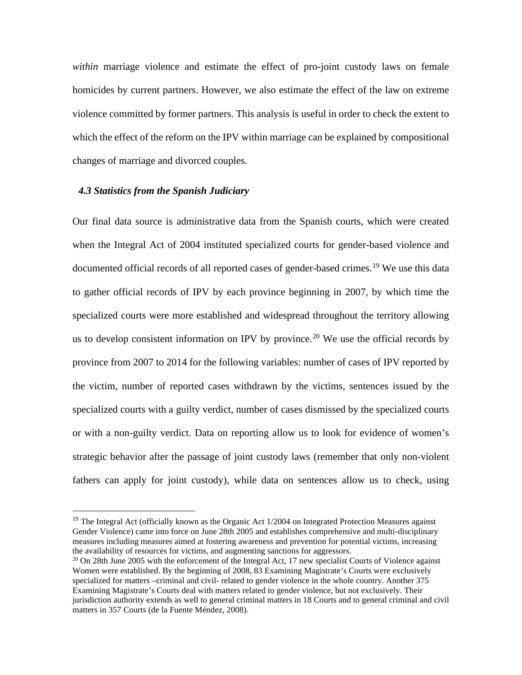*within* marriage violence and estimate the effect of pro-joint custody laws on female homicides by current partners. However, we also estimate the effect of the law on extreme violence committed by former partners. This analysis is useful in order to check the extent to which the effect of the reform on the IPV within marriage can be explained by compositional changes of marriage and divorced couples.

### *4.3 Statistics from the Spanish Judiciary*

Our final data source is administrative data from the Spanish courts, which were created when the Integral Act of 2004 instituted specialized courts for gender-based violence and documented official records of all reported cases of gender-based crimes.<sup>[19](#page-18-0)</sup> We use this data to gather official records of IPV by each province beginning in 2007, by which time the specialized courts were more established and widespread throughout the territory allowing us to develop consistent information on IPV by province.<sup>[20](#page-18-1)</sup> We use the official records by province from 2007 to 2014 for the following variables: number of cases of IPV reported by the victim, number of reported cases withdrawn by the victims, sentences issued by the specialized courts with a guilty verdict, number of cases dismissed by the specialized courts or with a non-guilty verdict. Data on reporting allow us to look for evidence of women's strategic behavior after the passage of joint custody laws (remember that only non-violent fathers can apply for joint custody), while data on sentences allow us to check, using

<span id="page-18-0"></span> $19$  The Integral Act (officially known as the Organic Act 1/2004 on Integrated Protection Measures against Gender Violence) came into force on June 28th 2005 and establishes comprehensive and multi-disciplinary measures including measures aimed at fostering awareness and prevention for potential victims, increasing the availability of resources for victims, and augmenting sanctions for aggressors.

<span id="page-18-1"></span> $20$  On 28th June 2005 with the enforcement of the Integral Act, 17 new specialist Courts of Violence against Women were established. By the beginning of 2008, 83 Examining Magistrate's Courts were exclusively specialized for matters –criminal and civil- related to gender violence in the whole country. Another 375 Examining Magistrate's Courts deal with matters related to gender violence, but not exclusively. Their jurisdiction authority extends as well to general criminal matters in 18 Courts and to general criminal and civil matters in 357 Courts (de la Fuente Méndez, 2008).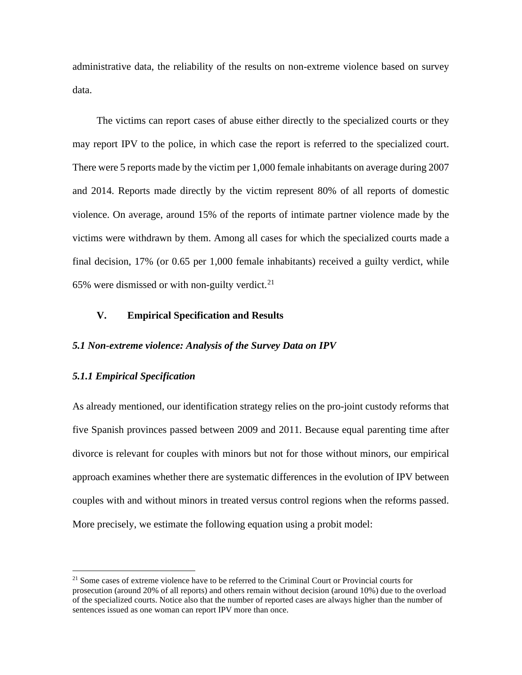administrative data, the reliability of the results on non-extreme violence based on survey data.

The victims can report cases of abuse either directly to the specialized courts or they may report IPV to the police, in which case the report is referred to the specialized court. There were 5 reports made by the victim per 1,000 female inhabitants on average during 2007 and 2014. Reports made directly by the victim represent 80% of all reports of domestic violence. On average, around 15% of the reports of intimate partner violence made by the victims were withdrawn by them. Among all cases for which the specialized courts made a final decision, 17% (or 0.65 per 1,000 female inhabitants) received a guilty verdict, while 65% were dismissed or with non-guilty verdict.<sup>[21](#page-19-0)</sup>

# **V. Empirical Specification and Results**

#### *5.1 Non-extreme violence: Analysis of the Survey Data on IPV*

#### *5.1.1 Empirical Specification*

As already mentioned, our identification strategy relies on the pro-joint custody reforms that five Spanish provinces passed between 2009 and 2011. Because equal parenting time after divorce is relevant for couples with minors but not for those without minors, our empirical approach examines whether there are systematic differences in the evolution of IPV between couples with and without minors in treated versus control regions when the reforms passed. More precisely, we estimate the following equation using a probit model:

<span id="page-19-0"></span><sup>&</sup>lt;sup>21</sup> Some cases of extreme violence have to be referred to the Criminal Court or Provincial courts for prosecution (around 20% of all reports) and others remain without decision (around 10%) due to the overload of the specialized courts. Notice also that the number of reported cases are always higher than the number of sentences issued as one woman can report IPV more than once.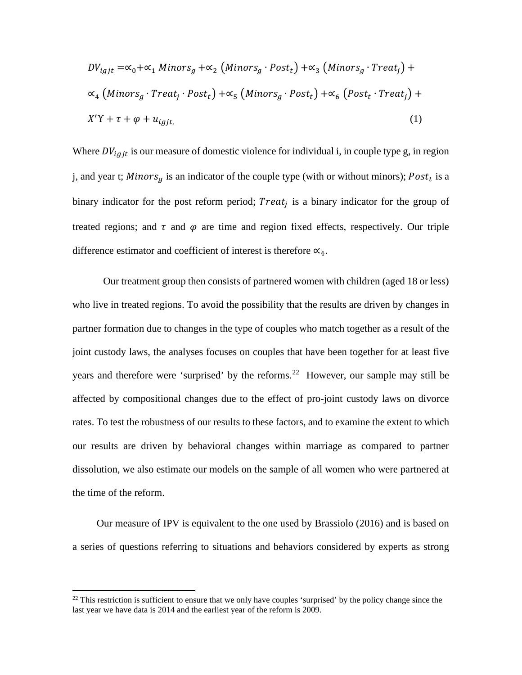$$
DV_{igjt} = \alpha_0 + \alpha_1 \, Minors_g + \alpha_2 \, (Minors_g \cdot Post_t) + \alpha_3 \, (Minors_g \cdot Treat_j) + \alpha_4 \, (Minors_g \cdot Treat_j \cdot Post_t) + \alpha_5 \, (Minors_g \cdot Post_t) + \alpha_6 \, (Post_t \cdot Treat_j) + \nX'Y + \tau + \varphi + u_{igjt},
$$
\n
$$
(1)
$$

Where  $DV_{igit}$  is our measure of domestic violence for individual i, in couple type g, in region j, and year t; Minors<sub>a</sub> is an indicator of the couple type (with or without minors);  $Post<sub>t</sub>$  is a binary indicator for the post reform period;  $Treat_i$  is a binary indicator for the group of treated regions; and  $\tau$  and  $\varphi$  are time and region fixed effects, respectively. Our triple difference estimator and coefficient of interest is therefore  $\alpha_4$ .

Our treatment group then consists of partnered women with children (aged 18 or less) who live in treated regions. To avoid the possibility that the results are driven by changes in partner formation due to changes in the type of couples who match together as a result of the joint custody laws, the analyses focuses on couples that have been together for at least five years and therefore were 'surprised' by the reforms.<sup>[22](#page-20-0)</sup> However, our sample may still be affected by compositional changes due to the effect of pro-joint custody laws on divorce rates. To test the robustness of our results to these factors, and to examine the extent to which our results are driven by behavioral changes within marriage as compared to partner dissolution, we also estimate our models on the sample of all women who were partnered at the time of the reform.

Our measure of IPV is equivalent to the one used by Brassiolo (2016) and is based on a series of questions referring to situations and behaviors considered by experts as strong

<span id="page-20-0"></span> $22$  This restriction is sufficient to ensure that we only have couples 'surprised' by the policy change since the last year we have data is 2014 and the earliest year of the reform is 2009.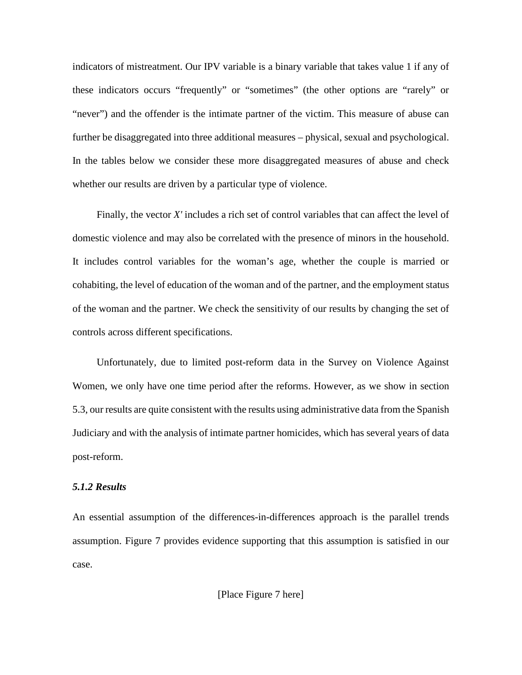indicators of mistreatment. Our IPV variable is a binary variable that takes value 1 if any of these indicators occurs "frequently" or "sometimes" (the other options are "rarely" or "never") and the offender is the intimate partner of the victim. This measure of abuse can further be disaggregated into three additional measures – physical, sexual and psychological. In the tables below we consider these more disaggregated measures of abuse and check whether our results are driven by a particular type of violence.

Finally, the vector *X'* includes a rich set of control variables that can affect the level of domestic violence and may also be correlated with the presence of minors in the household. It includes control variables for the woman's age, whether the couple is married or cohabiting, the level of education of the woman and of the partner, and the employment status of the woman and the partner. We check the sensitivity of our results by changing the set of controls across different specifications.

Unfortunately, due to limited post-reform data in the Survey on Violence Against Women, we only have one time period after the reforms. However, as we show in section 5.3, our results are quite consistent with the results using administrative data from the Spanish Judiciary and with the analysis of intimate partner homicides, which has several years of data post-reform.

# *5.1.2 Results*

An essential assumption of the differences-in-differences approach is the parallel trends assumption. Figure 7 provides evidence supporting that this assumption is satisfied in our case.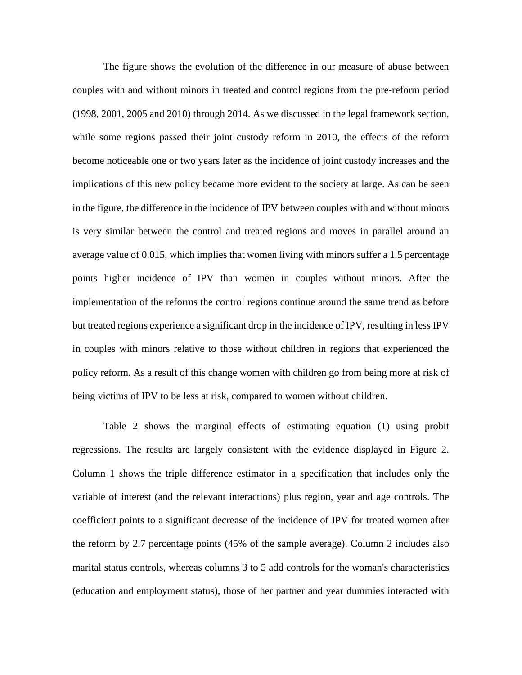The figure shows the evolution of the difference in our measure of abuse between couples with and without minors in treated and control regions from the pre-reform period (1998, 2001, 2005 and 2010) through 2014. As we discussed in the legal framework section, while some regions passed their joint custody reform in 2010, the effects of the reform become noticeable one or two years later as the incidence of joint custody increases and the implications of this new policy became more evident to the society at large. As can be seen in the figure, the difference in the incidence of IPV between couples with and without minors is very similar between the control and treated regions and moves in parallel around an average value of 0.015, which implies that women living with minors suffer a 1.5 percentage points higher incidence of IPV than women in couples without minors. After the implementation of the reforms the control regions continue around the same trend as before but treated regions experience a significant drop in the incidence of IPV, resulting in less IPV in couples with minors relative to those without children in regions that experienced the policy reform. As a result of this change women with children go from being more at risk of being victims of IPV to be less at risk, compared to women without children.

Table 2 shows the marginal effects of estimating equation (1) using probit regressions. The results are largely consistent with the evidence displayed in Figure 2. Column 1 shows the triple difference estimator in a specification that includes only the variable of interest (and the relevant interactions) plus region, year and age controls. The coefficient points to a significant decrease of the incidence of IPV for treated women after the reform by 2.7 percentage points (45% of the sample average). Column 2 includes also marital status controls, whereas columns 3 to 5 add controls for the woman's characteristics (education and employment status), those of her partner and year dummies interacted with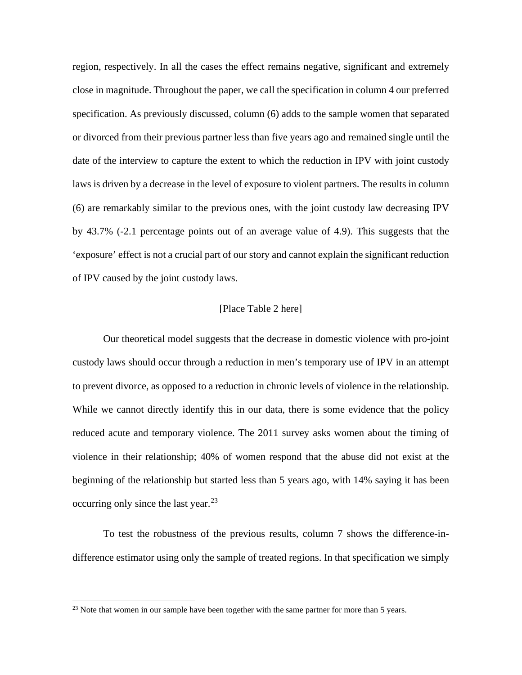region, respectively. In all the cases the effect remains negative, significant and extremely close in magnitude. Throughout the paper, we call the specification in column 4 our preferred specification. As previously discussed, column (6) adds to the sample women that separated or divorced from their previous partner less than five years ago and remained single until the date of the interview to capture the extent to which the reduction in IPV with joint custody laws is driven by a decrease in the level of exposure to violent partners. The results in column (6) are remarkably similar to the previous ones, with the joint custody law decreasing IPV by 43.7% (-2.1 percentage points out of an average value of 4.9). This suggests that the 'exposure' effect is not a crucial part of our story and cannot explain the significant reduction of IPV caused by the joint custody laws.

#### [Place Table 2 here]

Our theoretical model suggests that the decrease in domestic violence with pro-joint custody laws should occur through a reduction in men's temporary use of IPV in an attempt to prevent divorce, as opposed to a reduction in chronic levels of violence in the relationship. While we cannot directly identify this in our data, there is some evidence that the policy reduced acute and temporary violence. The 2011 survey asks women about the timing of violence in their relationship; 40% of women respond that the abuse did not exist at the beginning of the relationship but started less than 5 years ago, with 14% saying it has been occurring only since the last year. $^{23}$ 

To test the robustness of the previous results, column 7 shows the difference-indifference estimator using only the sample of treated regions. In that specification we simply

<span id="page-23-0"></span> $23$  Note that women in our sample have been together with the same partner for more than 5 years.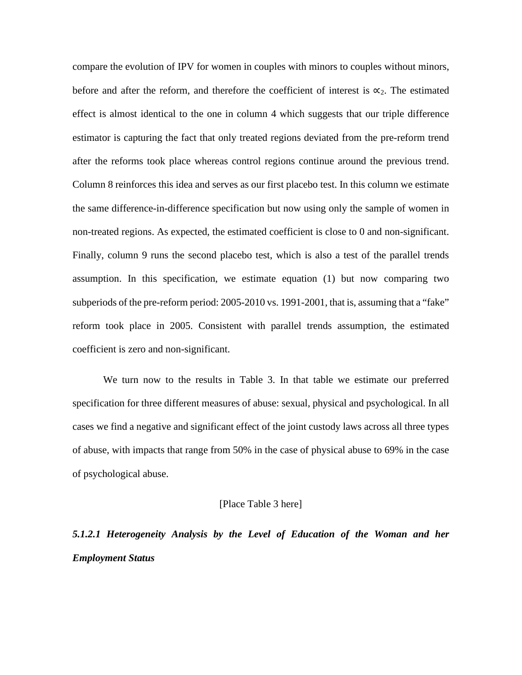compare the evolution of IPV for women in couples with minors to couples without minors, before and after the reform, and therefore the coefficient of interest is  $\alpha_2$ . The estimated effect is almost identical to the one in column 4 which suggests that our triple difference estimator is capturing the fact that only treated regions deviated from the pre-reform trend after the reforms took place whereas control regions continue around the previous trend. Column 8 reinforces this idea and serves as our first placebo test. In this column we estimate the same difference-in-difference specification but now using only the sample of women in non-treated regions. As expected, the estimated coefficient is close to 0 and non-significant. Finally, column 9 runs the second placebo test, which is also a test of the parallel trends assumption. In this specification, we estimate equation (1) but now comparing two subperiods of the pre-reform period: 2005-2010 vs. 1991-2001, that is, assuming that a "fake" reform took place in 2005. Consistent with parallel trends assumption, the estimated coefficient is zero and non-significant.

We turn now to the results in Table 3. In that table we estimate our preferred specification for three different measures of abuse: sexual, physical and psychological. In all cases we find a negative and significant effect of the joint custody laws across all three types of abuse, with impacts that range from 50% in the case of physical abuse to 69% in the case of psychological abuse.

#### [Place Table 3 here]

# *5.1.2.1 Heterogeneity Analysis by the Level of Education of the Woman and her Employment Status*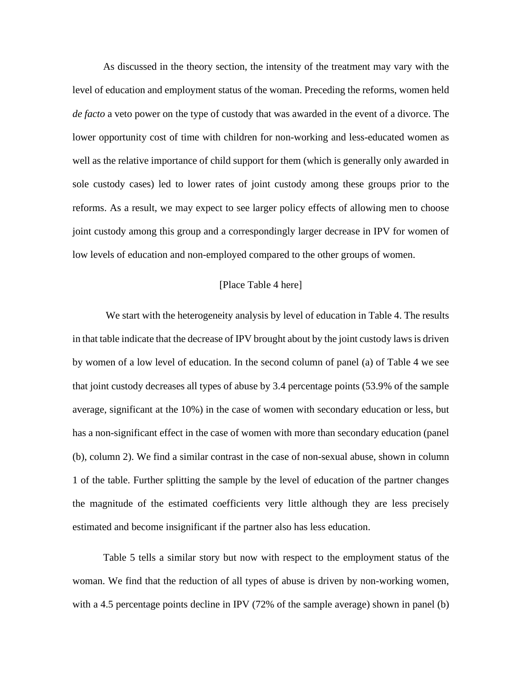As discussed in the theory section, the intensity of the treatment may vary with the level of education and employment status of the woman. Preceding the reforms, women held *de facto* a veto power on the type of custody that was awarded in the event of a divorce. The lower opportunity cost of time with children for non-working and less-educated women as well as the relative importance of child support for them (which is generally only awarded in sole custody cases) led to lower rates of joint custody among these groups prior to the reforms. As a result, we may expect to see larger policy effects of allowing men to choose joint custody among this group and a correspondingly larger decrease in IPV for women of low levels of education and non-employed compared to the other groups of women.

#### [Place Table 4 here]

We start with the heterogeneity analysis by level of education in Table 4. The results in that table indicate that the decrease of IPV brought about by the joint custody laws is driven by women of a low level of education. In the second column of panel (a) of Table 4 we see that joint custody decreases all types of abuse by 3.4 percentage points (53.9% of the sample average, significant at the 10%) in the case of women with secondary education or less, but has a non-significant effect in the case of women with more than secondary education (panel (b), column 2). We find a similar contrast in the case of non-sexual abuse, shown in column 1 of the table. Further splitting the sample by the level of education of the partner changes the magnitude of the estimated coefficients very little although they are less precisely estimated and become insignificant if the partner also has less education.

Table 5 tells a similar story but now with respect to the employment status of the woman. We find that the reduction of all types of abuse is driven by non-working women, with a 4.5 percentage points decline in IPV (72% of the sample average) shown in panel (b)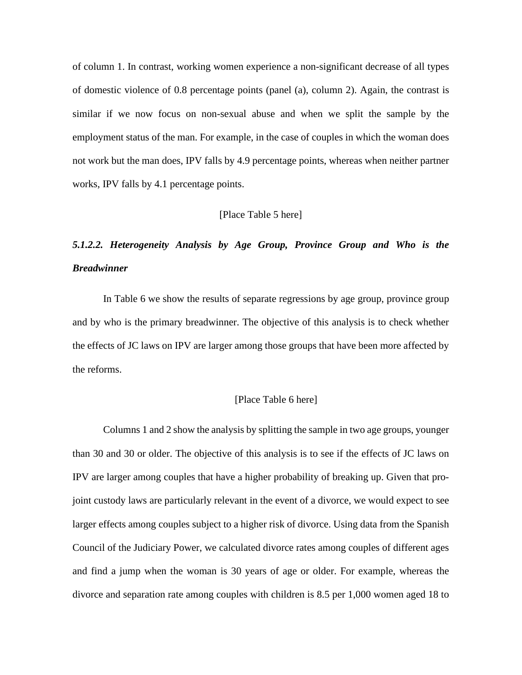of column 1. In contrast, working women experience a non-significant decrease of all types of domestic violence of 0.8 percentage points (panel (a), column 2). Again, the contrast is similar if we now focus on non-sexual abuse and when we split the sample by the employment status of the man. For example, in the case of couples in which the woman does not work but the man does, IPV falls by 4.9 percentage points, whereas when neither partner works, IPV falls by 4.1 percentage points.

#### [Place Table 5 here]

# *5.1.2.2. Heterogeneity Analysis by Age Group, Province Group and Who is the Breadwinner*

In Table 6 we show the results of separate regressions by age group, province group and by who is the primary breadwinner. The objective of this analysis is to check whether the effects of JC laws on IPV are larger among those groups that have been more affected by the reforms.

#### [Place Table 6 here]

Columns 1 and 2 show the analysis by splitting the sample in two age groups, younger than 30 and 30 or older. The objective of this analysis is to see if the effects of JC laws on IPV are larger among couples that have a higher probability of breaking up. Given that projoint custody laws are particularly relevant in the event of a divorce, we would expect to see larger effects among couples subject to a higher risk of divorce. Using data from the Spanish Council of the Judiciary Power, we calculated divorce rates among couples of different ages and find a jump when the woman is 30 years of age or older. For example, whereas the divorce and separation rate among couples with children is 8.5 per 1,000 women aged 18 to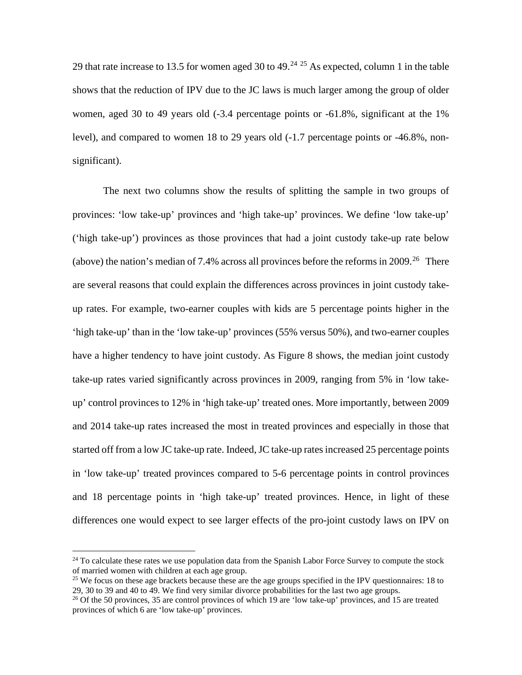29 that rate increase to 13.5 for women aged 30 to 49.<sup>[24](#page-27-0) [25](#page-27-1)</sup> As expected, column 1 in the table shows that the reduction of IPV due to the JC laws is much larger among the group of older women, aged 30 to 49 years old (-3.4 percentage points or -61.8%, significant at the 1% level), and compared to women 18 to 29 years old (-1.7 percentage points or -46.8%, nonsignificant).

The next two columns show the results of splitting the sample in two groups of provinces: 'low take-up' provinces and 'high take-up' provinces. We define 'low take-up' ('high take-up') provinces as those provinces that had a joint custody take-up rate below (above) the nation's median of 7.4% across all provinces before the reforms in 2009.<sup>[26](#page-27-2)</sup> There are several reasons that could explain the differences across provinces in joint custody takeup rates. For example, two-earner couples with kids are 5 percentage points higher in the 'high take-up' than in the 'low take-up' provinces (55% versus 50%), and two-earner couples have a higher tendency to have joint custody. As Figure 8 shows, the median joint custody take-up rates varied significantly across provinces in 2009, ranging from 5% in 'low takeup' control provinces to 12% in 'high take-up' treated ones. More importantly, between 2009 and 2014 take-up rates increased the most in treated provinces and especially in those that started off from a low JC take-up rate. Indeed, JC take-up rates increased 25 percentage points in 'low take-up' treated provinces compared to 5-6 percentage points in control provinces and 18 percentage points in 'high take-up' treated provinces. Hence, in light of these differences one would expect to see larger effects of the pro-joint custody laws on IPV on

<span id="page-27-0"></span><sup>&</sup>lt;sup>24</sup> To calculate these rates we use population data from the Spanish Labor Force Survey to compute the stock of married women with children at each age group.

<span id="page-27-1"></span><sup>&</sup>lt;sup>25</sup> We focus on these age brackets because these are the age groups specified in the IPV questionnaires: 18 to 29, 30 to 39 and 40 to 49. We find very similar divorce probabilities for the last two age groups.

<span id="page-27-2"></span><sup>&</sup>lt;sup>26</sup> Of the 50 provinces, 35 are control provinces of which 19 are 'low take-up' provinces, and 15 are treated provinces of which 6 are 'low take-up' provinces.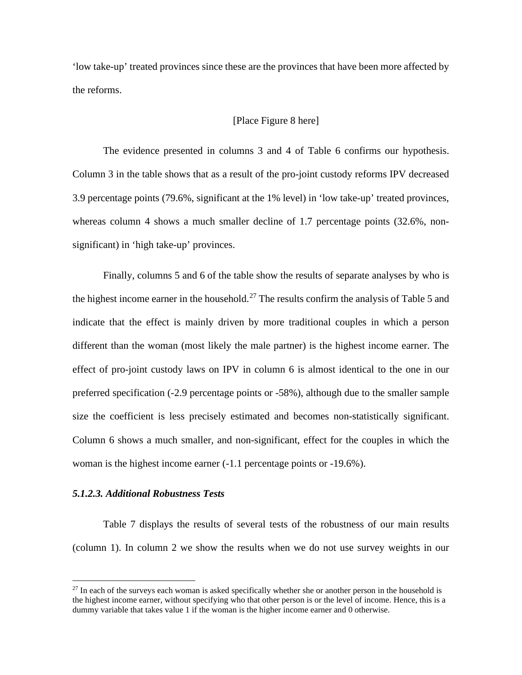'low take-up' treated provinces since these are the provinces that have been more affected by the reforms.

#### [Place Figure 8 here]

The evidence presented in columns 3 and 4 of Table 6 confirms our hypothesis. Column 3 in the table shows that as a result of the pro-joint custody reforms IPV decreased 3.9 percentage points (79.6%, significant at the 1% level) in 'low take-up' treated provinces, whereas column 4 shows a much smaller decline of 1.7 percentage points (32.6%, nonsignificant) in 'high take-up' provinces.

Finally, columns 5 and 6 of the table show the results of separate analyses by who is the highest income earner in the household.<sup>[27](#page-28-0)</sup> The results confirm the analysis of Table 5 and indicate that the effect is mainly driven by more traditional couples in which a person different than the woman (most likely the male partner) is the highest income earner. The effect of pro-joint custody laws on IPV in column 6 is almost identical to the one in our preferred specification (-2.9 percentage points or -58%), although due to the smaller sample size the coefficient is less precisely estimated and becomes non-statistically significant. Column 6 shows a much smaller, and non-significant, effect for the couples in which the woman is the highest income earner (-1.1 percentage points or -19.6%).

#### *5.1.2.3. Additional Robustness Tests*

Table 7 displays the results of several tests of the robustness of our main results (column 1). In column 2 we show the results when we do not use survey weights in our

<span id="page-28-0"></span> $27$  In each of the surveys each woman is asked specifically whether she or another person in the household is the highest income earner, without specifying who that other person is or the level of income. Hence, this is a dummy variable that takes value 1 if the woman is the higher income earner and 0 otherwise.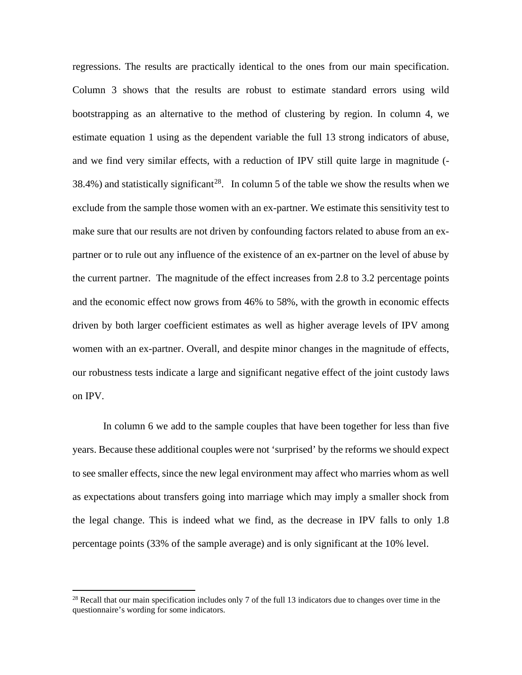regressions. The results are practically identical to the ones from our main specification. Column 3 shows that the results are robust to estimate standard errors using wild bootstrapping as an alternative to the method of clustering by region. In column 4, we estimate equation 1 using as the dependent variable the full 13 strong indicators of abuse, and we find very similar effects, with a reduction of IPV still quite large in magnitude (- 38.4%) and statistically significant<sup>28</sup>. In column 5 of the table we show the results when we exclude from the sample those women with an ex-partner. We estimate this sensitivity test to make sure that our results are not driven by confounding factors related to abuse from an expartner or to rule out any influence of the existence of an ex-partner on the level of abuse by the current partner. The magnitude of the effect increases from 2.8 to 3.2 percentage points and the economic effect now grows from 46% to 58%, with the growth in economic effects driven by both larger coefficient estimates as well as higher average levels of IPV among women with an ex-partner. Overall, and despite minor changes in the magnitude of effects, our robustness tests indicate a large and significant negative effect of the joint custody laws on IPV.

In column 6 we add to the sample couples that have been together for less than five years. Because these additional couples were not 'surprised' by the reforms we should expect to see smaller effects, since the new legal environment may affect who marries whom as well as expectations about transfers going into marriage which may imply a smaller shock from the legal change. This is indeed what we find, as the decrease in IPV falls to only 1.8 percentage points (33% of the sample average) and is only significant at the 10% level.

<span id="page-29-0"></span><sup>&</sup>lt;sup>28</sup> Recall that our main specification includes only 7 of the full 13 indicators due to changes over time in the questionnaire's wording for some indicators.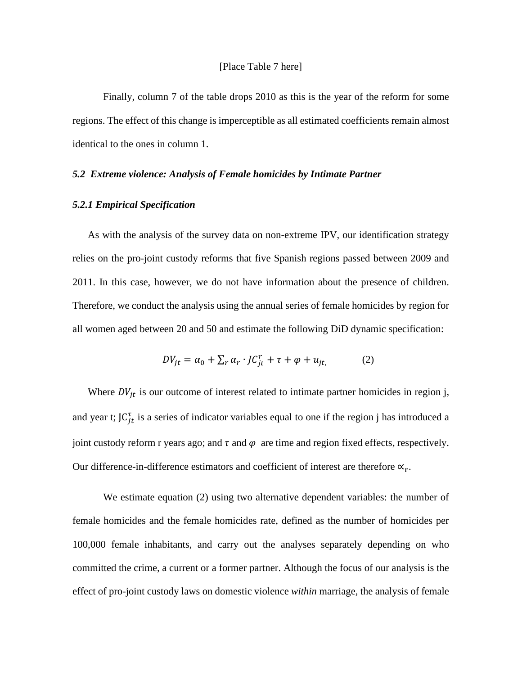Finally, column 7 of the table drops 2010 as this is the year of the reform for some regions. The effect of this change is imperceptible as all estimated coefficients remain almost identical to the ones in column 1.

#### *5.2 Extreme violence: Analysis of Female homicides by Intimate Partner*

#### *5.2.1 Empirical Specification*

As with the analysis of the survey data on non-extreme IPV, our identification strategy relies on the pro-joint custody reforms that five Spanish regions passed between 2009 and 2011. In this case, however, we do not have information about the presence of children. Therefore, we conduct the analysis using the annual series of female homicides by region for all women aged between 20 and 50 and estimate the following DiD dynamic specification:

$$
DV_{jt} = \alpha_0 + \sum_r \alpha_r \cdot JC_{jt}^r + \tau + \varphi + u_{jt}, \qquad (2)
$$

Where  $DV_{it}$  is our outcome of interest related to intimate partner homicides in region j, and year t;  $JC_{it}^{\tau}$  is a series of indicator variables equal to one if the region j has introduced a joint custody reform r years ago; and  $\tau$  and  $\varphi$  are time and region fixed effects, respectively. Our difference-in-difference estimators and coefficient of interest are therefore  $\propto_r$ .

We estimate equation (2) using two alternative dependent variables: the number of female homicides and the female homicides rate, defined as the number of homicides per 100,000 female inhabitants, and carry out the analyses separately depending on who committed the crime, a current or a former partner. Although the focus of our analysis is the effect of pro-joint custody laws on domestic violence *within* marriage, the analysis of female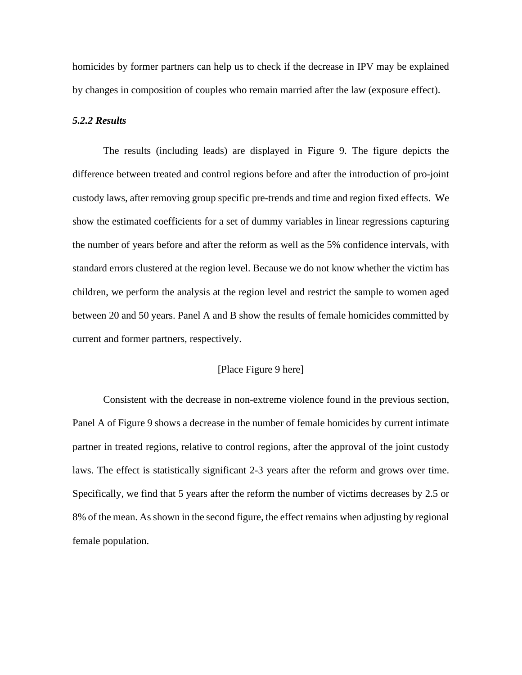homicides by former partners can help us to check if the decrease in IPV may be explained by changes in composition of couples who remain married after the law (exposure effect).

#### *5.2.2 Results*

The results (including leads) are displayed in Figure 9. The figure depicts the difference between treated and control regions before and after the introduction of pro-joint custody laws, after removing group specific pre-trends and time and region fixed effects. We show the estimated coefficients for a set of dummy variables in linear regressions capturing the number of years before and after the reform as well as the 5% confidence intervals, with standard errors clustered at the region level. Because we do not know whether the victim has children, we perform the analysis at the region level and restrict the sample to women aged between 20 and 50 years. Panel A and B show the results of female homicides committed by current and former partners, respectively.

#### [Place Figure 9 here]

Consistent with the decrease in non-extreme violence found in the previous section, Panel A of Figure 9 shows a decrease in the number of female homicides by current intimate partner in treated regions, relative to control regions, after the approval of the joint custody laws. The effect is statistically significant 2-3 years after the reform and grows over time. Specifically, we find that 5 years after the reform the number of victims decreases by 2.5 or 8% of the mean. As shown in the second figure, the effect remains when adjusting by regional female population.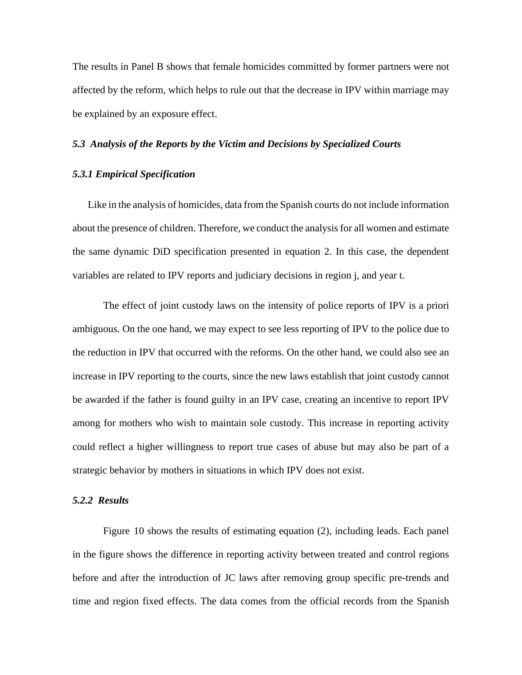The results in Panel B shows that female homicides committed by former partners were not affected by the reform, which helps to rule out that the decrease in IPV within marriage may be explained by an exposure effect.

#### *5.3 Analysis of the Reports by the Victim and Decisions by Specialized Courts*

# *5.3.1 Empirical Specification*

Like in the analysis of homicides, data from the Spanish courts do not include information about the presence of children. Therefore, we conduct the analysis for all women and estimate the same dynamic DiD specification presented in equation 2. In this case, the dependent variables are related to IPV reports and judiciary decisions in region j, and year t.

The effect of joint custody laws on the intensity of police reports of IPV is a priori ambiguous. On the one hand, we may expect to see less reporting of IPV to the police due to the reduction in IPV that occurred with the reforms. On the other hand, we could also see an increase in IPV reporting to the courts, since the new laws establish that joint custody cannot be awarded if the father is found guilty in an IPV case, creating an incentive to report IPV among for mothers who wish to maintain sole custody. This increase in reporting activity could reflect a higher willingness to report true cases of abuse but may also be part of a strategic behavior by mothers in situations in which IPV does not exist.

#### *5.2.2 Results*

Figure 10 shows the results of estimating equation (2), including leads. Each panel in the figure shows the difference in reporting activity between treated and control regions before and after the introduction of JC laws after removing group specific pre-trends and time and region fixed effects. The data comes from the official records from the Spanish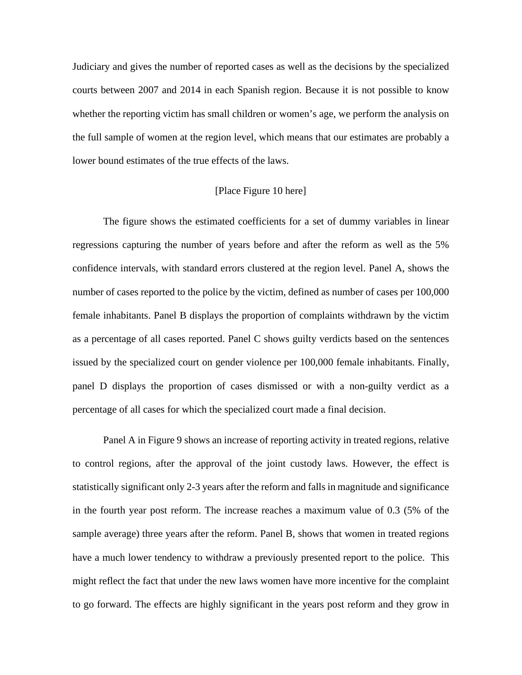Judiciary and gives the number of reported cases as well as the decisions by the specialized courts between 2007 and 2014 in each Spanish region. Because it is not possible to know whether the reporting victim has small children or women's age, we perform the analysis on the full sample of women at the region level, which means that our estimates are probably a lower bound estimates of the true effects of the laws.

#### [Place Figure 10 here]

The figure shows the estimated coefficients for a set of dummy variables in linear regressions capturing the number of years before and after the reform as well as the 5% confidence intervals, with standard errors clustered at the region level. Panel A, shows the number of cases reported to the police by the victim, defined as number of cases per 100,000 female inhabitants. Panel B displays the proportion of complaints withdrawn by the victim as a percentage of all cases reported. Panel C shows guilty verdicts based on the sentences issued by the specialized court on gender violence per 100,000 female inhabitants. Finally, panel D displays the proportion of cases dismissed or with a non-guilty verdict as a percentage of all cases for which the specialized court made a final decision.

Panel A in Figure 9 shows an increase of reporting activity in treated regions, relative to control regions, after the approval of the joint custody laws. However, the effect is statistically significant only 2-3 years after the reform and falls in magnitude and significance in the fourth year post reform. The increase reaches a maximum value of 0.3 (5% of the sample average) three years after the reform. Panel B, shows that women in treated regions have a much lower tendency to withdraw a previously presented report to the police. This might reflect the fact that under the new laws women have more incentive for the complaint to go forward. The effects are highly significant in the years post reform and they grow in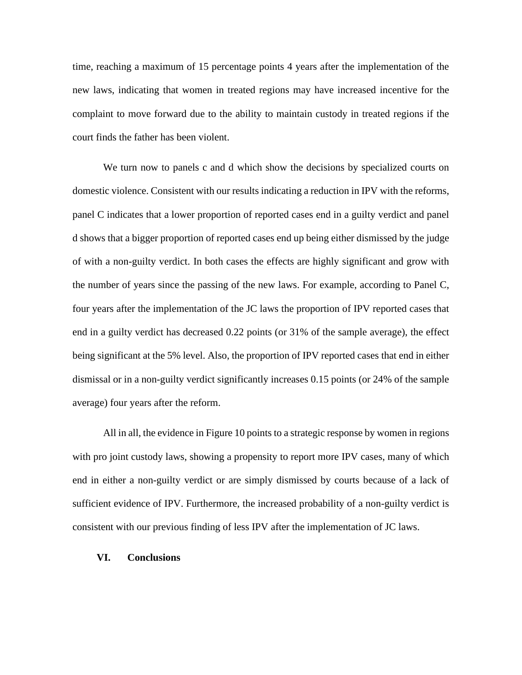time, reaching a maximum of 15 percentage points 4 years after the implementation of the new laws, indicating that women in treated regions may have increased incentive for the complaint to move forward due to the ability to maintain custody in treated regions if the court finds the father has been violent.

We turn now to panels c and d which show the decisions by specialized courts on domestic violence. Consistent with our results indicating a reduction in IPV with the reforms, panel C indicates that a lower proportion of reported cases end in a guilty verdict and panel d shows that a bigger proportion of reported cases end up being either dismissed by the judge of with a non-guilty verdict. In both cases the effects are highly significant and grow with the number of years since the passing of the new laws. For example, according to Panel C, four years after the implementation of the JC laws the proportion of IPV reported cases that end in a guilty verdict has decreased 0.22 points (or 31% of the sample average), the effect being significant at the 5% level. Also, the proportion of IPV reported cases that end in either dismissal or in a non-guilty verdict significantly increases 0.15 points (or 24% of the sample average) four years after the reform.

All in all, the evidence in Figure 10 points to a strategic response by women in regions with pro joint custody laws, showing a propensity to report more IPV cases, many of which end in either a non-guilty verdict or are simply dismissed by courts because of a lack of sufficient evidence of IPV. Furthermore, the increased probability of a non-guilty verdict is consistent with our previous finding of less IPV after the implementation of JC laws.

#### **VI. Conclusions**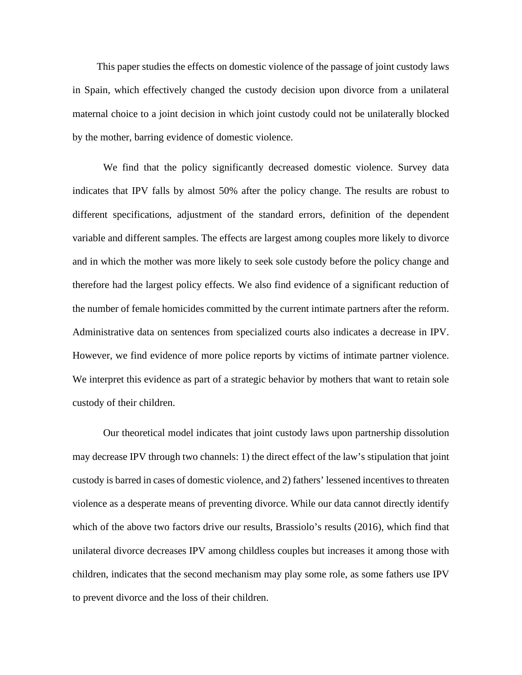This paper studies the effects on domestic violence of the passage of joint custody laws in Spain, which effectively changed the custody decision upon divorce from a unilateral maternal choice to a joint decision in which joint custody could not be unilaterally blocked by the mother, barring evidence of domestic violence.

We find that the policy significantly decreased domestic violence. Survey data indicates that IPV falls by almost 50% after the policy change. The results are robust to different specifications, adjustment of the standard errors, definition of the dependent variable and different samples. The effects are largest among couples more likely to divorce and in which the mother was more likely to seek sole custody before the policy change and therefore had the largest policy effects. We also find evidence of a significant reduction of the number of female homicides committed by the current intimate partners after the reform. Administrative data on sentences from specialized courts also indicates a decrease in IPV. However, we find evidence of more police reports by victims of intimate partner violence. We interpret this evidence as part of a strategic behavior by mothers that want to retain sole custody of their children.

Our theoretical model indicates that joint custody laws upon partnership dissolution may decrease IPV through two channels: 1) the direct effect of the law's stipulation that joint custody is barred in cases of domestic violence, and 2) fathers' lessened incentives to threaten violence as a desperate means of preventing divorce. While our data cannot directly identify which of the above two factors drive our results, Brassiolo's results (2016), which find that unilateral divorce decreases IPV among childless couples but increases it among those with children, indicates that the second mechanism may play some role, as some fathers use IPV to prevent divorce and the loss of their children.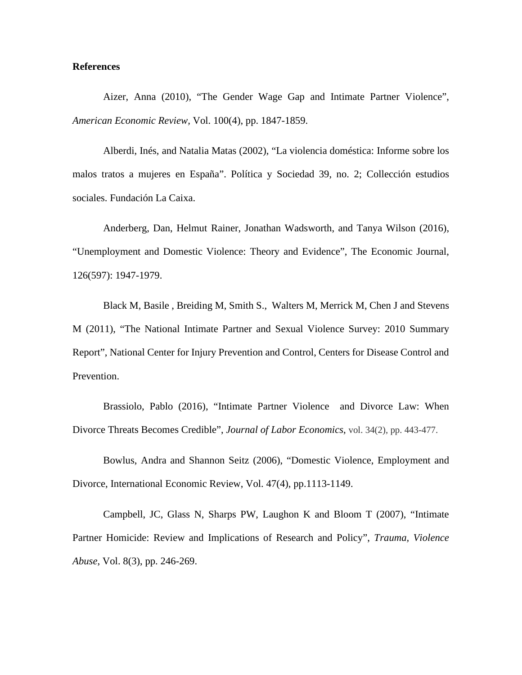#### **References**

Aizer, Anna (2010), "The Gender Wage Gap and Intimate Partner Violence", *American Economic Review,* Vol. 100(4), pp. 1847-1859.

Alberdi, Inés, and Natalia Matas (2002), "La violencia doméstica: Informe sobre los malos tratos a mujeres en España". Política y Sociedad 39, no. 2; Collección estudios sociales. Fundación La Caixa.

Anderberg, Dan, Helmut Rainer, Jonathan Wadsworth, and Tanya Wilson (2016), "Unemployment and Domestic Violence: Theory and Evidence", The Economic Journal, 126(597): 1947-1979.

Black M, Basile , Breiding M, Smith S., Walters M, Merrick M, Chen J and Stevens M (2011), "The National Intimate Partner and Sexual Violence Survey: 2010 Summary Report", National Center for Injury Prevention and Control, Centers for Disease Control and Prevention.

Brassiolo, Pablo (2016), "Intimate Partner Violence and Divorce Law: When Divorce Threats Becomes Credible", *Journal of Labor Economics*, vol. 34(2), pp. 443-477.

Bowlus, Andra and Shannon Seitz (2006), "Domestic Violence, Employment and Divorce, International Economic Review, Vol. 47(4), pp.1113-1149.

Campbell, JC, Glass N, Sharps PW, Laughon K and Bloom T (2007), "Intimate Partner Homicide: Review and Implications of Research and Policy", *Trauma, Violence Abuse*, Vol. 8(3), pp. 246-269.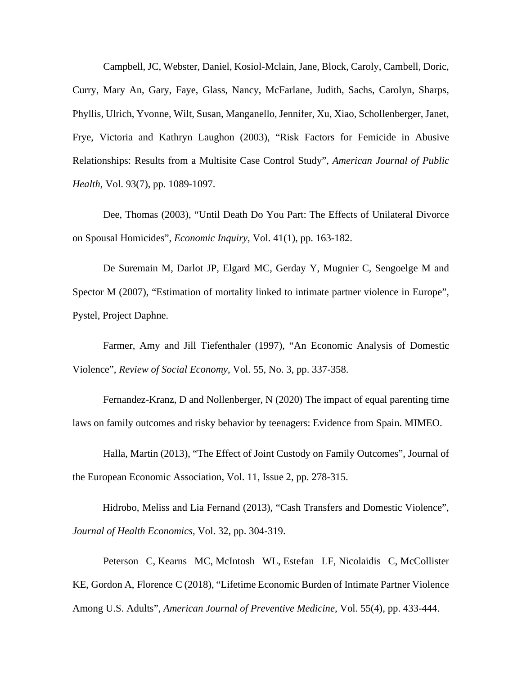Campbell, JC, Webster, Daniel, Kosiol-Mclain, Jane, Block, Caroly, Cambell, Doric, Curry, Mary An, Gary, Faye, Glass, Nancy, McFarlane, Judith, Sachs, Carolyn, Sharps, Phyllis, Ulrich, Yvonne, Wilt, Susan, Manganello, Jennifer, Xu, Xiao, Schollenberger, Janet, Frye, Victoria and Kathryn Laughon (2003), "Risk Factors for Femicide in Abusive Relationships: Results from a Multisite Case Control Study", *American Journal of Public Health,* Vol. 93(7), pp. 1089-1097.

Dee, Thomas (2003), "Until Death Do You Part: The Effects of Unilateral Divorce on Spousal Homicides", *Economic Inquiry,* Vol. 41(1), pp. 163-182.

De Suremain M, Darlot JP, Elgard MC, Gerday Y, Mugnier C, Sengoelge M and Spector M (2007), "Estimation of mortality linked to intimate partner violence in Europe", Pystel, Project Daphne.

Farmer, Amy and Jill Tiefenthaler (1997), "An Economic Analysis of Domestic Violence", *Review of Social Economy*, Vol. 55, No. 3, pp. 337-358.

Fernandez-Kranz, D and Nollenberger, N (2020) The impact of equal parenting time laws on family outcomes and risky behavior by teenagers: Evidence from Spain. MIMEO.

Halla, Martin (2013), "The Effect of Joint Custody on Family Outcomes", Journal of the European Economic Association, Vol. 11, Issue 2, pp. 278-315.

Hidrobo, Meliss and Lia Fernand (2013), "Cash Transfers and Domestic Violence", *Journal of Health Economics,* Vol. 32, pp. 304-319.

[Peterson C,](https://www.ncbi.nlm.nih.gov/pubmed/?term=Peterson%20C%5BAuthor%5D&cauthor=true&cauthor_uid=30166082) [Kearns MC,](https://www.ncbi.nlm.nih.gov/pubmed/?term=Kearns%20MC%5BAuthor%5D&cauthor=true&cauthor_uid=30166082) [McIntosh WL,](https://www.ncbi.nlm.nih.gov/pubmed/?term=McIntosh%20WL%5BAuthor%5D&cauthor=true&cauthor_uid=30166082) [Estefan LF,](https://www.ncbi.nlm.nih.gov/pubmed/?term=Estefan%20LF%5BAuthor%5D&cauthor=true&cauthor_uid=30166082) [Nicolaidis C,](https://www.ncbi.nlm.nih.gov/pubmed/?term=Nicolaidis%20C%5BAuthor%5D&cauthor=true&cauthor_uid=30166082) McCollister [KE,](https://www.ncbi.nlm.nih.gov/pubmed/?term=McCollister%20KE%5BAuthor%5D&cauthor=true&cauthor_uid=30166082) [Gordon A,](https://www.ncbi.nlm.nih.gov/pubmed/?term=Gordon%20A%5BAuthor%5D&cauthor=true&cauthor_uid=30166082) [Florence](https://www.ncbi.nlm.nih.gov/pubmed/?term=Florence%20C%5BAuthor%5D&cauthor=true&cauthor_uid=30166082) C (2018), "Lifetime Economic Burden of Intimate Partner Violence Among U.S. Adults", *American Journal of Preventive Medicine,* Vol. 55(4), pp. 433-444.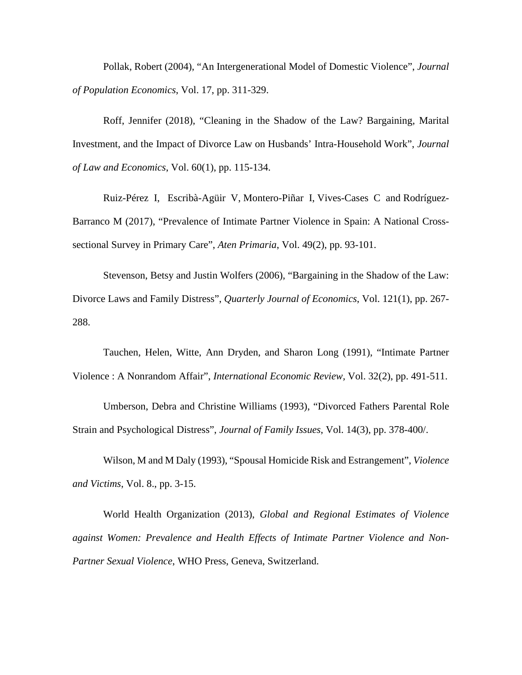Pollak, Robert (2004), "An Intergenerational Model of Domestic Violence", *Journal of Population Economics*, Vol. 17, pp. 311-329.

Roff, Jennifer (2018), "Cleaning in the Shadow of the Law? Bargaining, Marital Investment, and the Impact of Divorce Law on Husbands' Intra-Household Work", *Journal of Law and Economics*, Vol. 60(1), pp. 115-134.

Ruiz-Pérez I, [Escribà-Agüir V,](https://www.ncbi.nlm.nih.gov/pubmed/?term=Escrib%C3%A0-Ag%C3%BCir%20V%5BAuthor%5D&cauthor=true&cauthor_uid=27394929) [Montero-Piñar I,](https://www.ncbi.nlm.nih.gov/pubmed/?term=Montero-Pi%C3%B1ar%20I%5BAuthor%5D&cauthor=true&cauthor_uid=27394929) [Vives-Cases C](https://www.ncbi.nlm.nih.gov/pubmed/?term=Vives-Cases%20C%5BAuthor%5D&cauthor=true&cauthor_uid=27394929) and [Rodríguez-](https://www.ncbi.nlm.nih.gov/pubmed/?term=Rodr%C3%ADguez-Barranco%20M%5BAuthor%5D&cauthor=true&cauthor_uid=27394929)[Barranco M](https://www.ncbi.nlm.nih.gov/pubmed/?term=Rodr%C3%ADguez-Barranco%20M%5BAuthor%5D&cauthor=true&cauthor_uid=27394929) (2017), "Prevalence of Intimate Partner Violence in Spain: A National Crosssectional Survey in Primary Care", *Aten Primaria*, Vol. 49(2), pp. 93-101.

Stevenson, Betsy and Justin Wolfers (2006), "Bargaining in the Shadow of the Law: Divorce Laws and Family Distress", *Quarterly Journal of Economics*, Vol. 121(1), pp. 267- 288.

Tauchen, Helen, Witte, Ann Dryden, and Sharon Long (1991), "Intimate Partner Violence : A Nonrandom Affair", *International Economic Review,* Vol. 32(2), pp. 491-511.

Umberson, Debra and Christine Williams (1993), "Divorced Fathers Parental Role Strain and Psychological Distress", *Journal of Family Issues*, Vol. 14(3), pp. 378-400/.

Wilson, M and M Daly (1993), "Spousal Homicide Risk and Estrangement", *Violence and Victims*, Vol. 8., pp. 3-15.

World Health Organization (2013), *Global and Regional Estimates of Violence against Women: Prevalence and Health Effects of Intimate Partner Violence and Non-Partner Sexual Violence*, WHO Press, Geneva, Switzerland.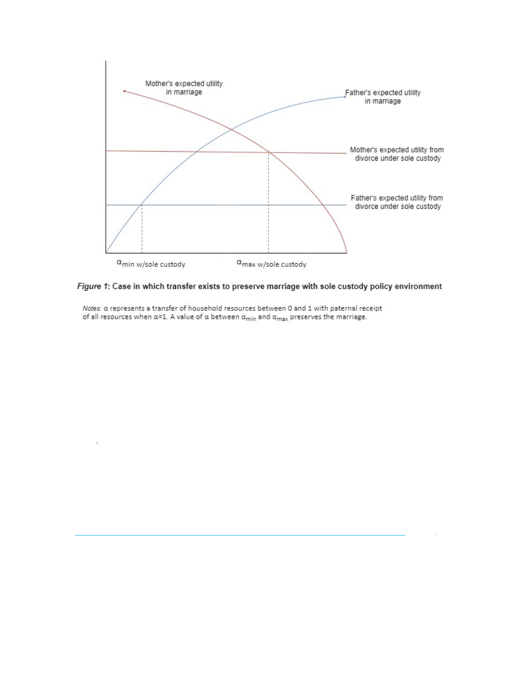



Notes: a represents a transfer of household resources between 0 and 1 with paternal receipt of all resources when  $\alpha$ =1. A value of  $\alpha$  between  $\alpha_{min}$  and  $\alpha_{max}$  preserves the marriage.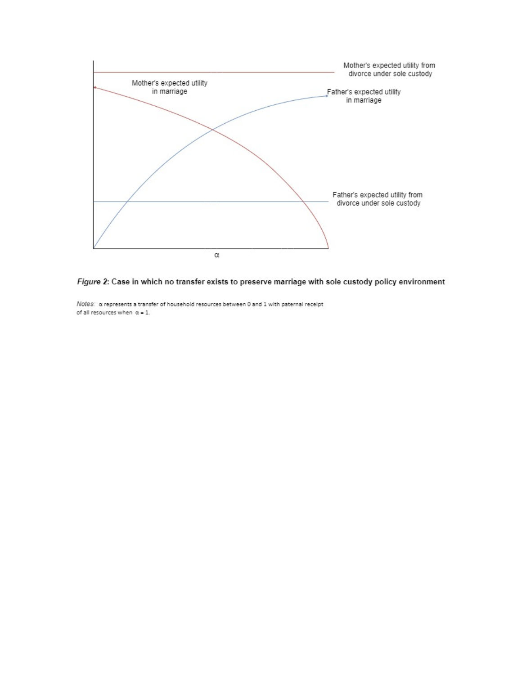



Notes: a represents a transfer of household resources between 0 and 1 with paternal receipt of all resources when  $\alpha = 1$ .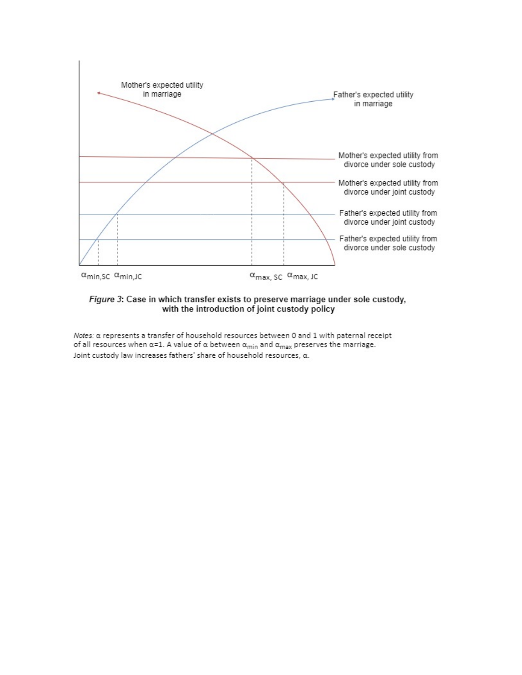

Figure 3: Case in which transfer exists to preserve marriage under sole custody, with the introduction of joint custody policy

Notes: a represents a transfer of household resources between 0 and 1 with paternal receipt of all resources when  $\alpha$ =1. A value of  $\alpha$  between  $\alpha_{min}$  and  $\alpha_{max}$  preserves the marriage. Joint custody law increases fathers' share of household resources, a.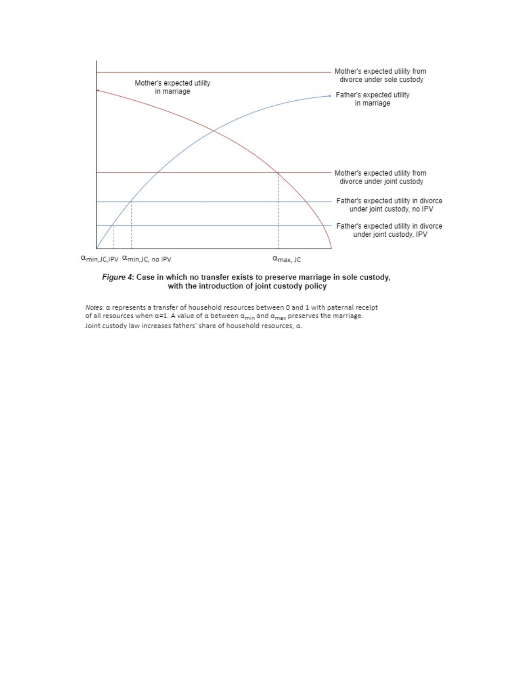

#### Figure 4: Case in which no transfer exists to preserve marriage in sole custody, with the introduction of joint custody policy

Notes: a represents a transfer of household resources between 0 and 1 with paternal receipt of all resources when  $\alpha$ =1. A value of  $\alpha$  between  $\alpha_{min}$  and  $\alpha_{max}$  preserves the marriage. Joint custody law increases fathers' share of household resources, a.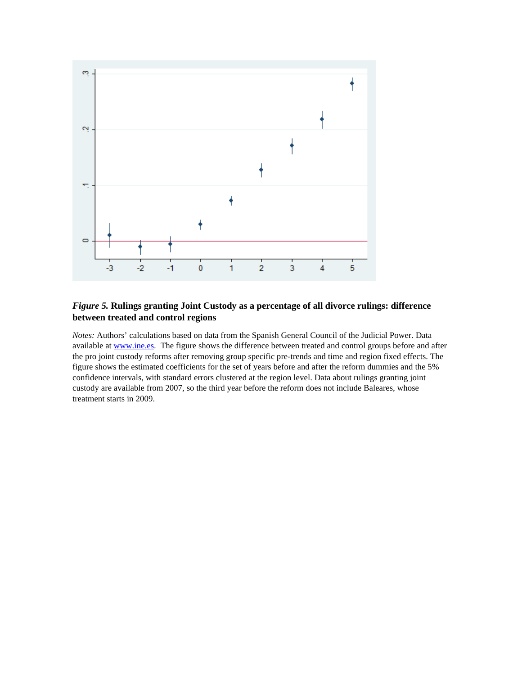

#### *Figure 5.* **Rulings granting Joint Custody as a percentage of all divorce rulings: difference between treated and control regions**

*Notes:* Authors' calculations based on data from the Spanish General Council of the Judicial Power. Data available at [www.ine.es.](http://www.ine.es/) The figure shows the difference between treated and control groups before and after the pro joint custody reforms after removing group specific pre-trends and time and region fixed effects. The figure shows the estimated coefficients for the set of years before and after the reform dummies and the 5% confidence intervals, with standard errors clustered at the region level. Data about rulings granting joint custody are available from 2007, so the third year before the reform does not include Baleares, whose treatment starts in 2009.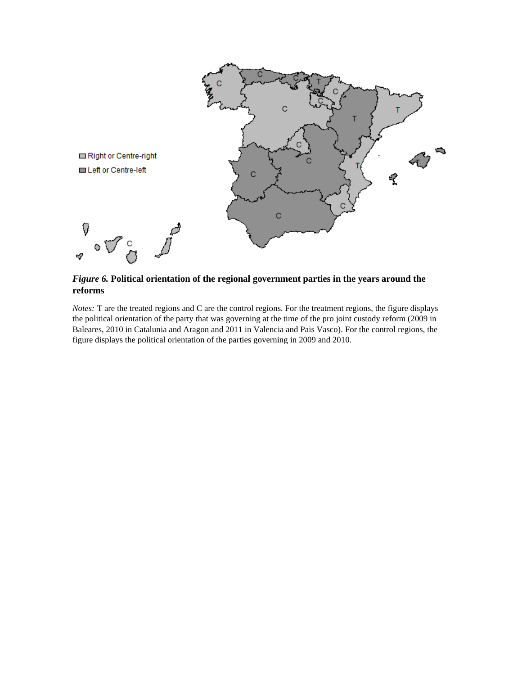

*Figure 6.* **Political orientation of the regional government parties in the years around the reforms**

#### *Notes:* T are the treated regions and C are the control regions. For the treatment regions, the figure displays the political orientation of the party that was governing at the time of the pro joint custody reform (2009 in Baleares, 2010 in Catalunia and Aragon and 2011 in Valencia and Pais Vasco). For the control regions, the figure displays the political orientation of the parties governing in 2009 and 2010.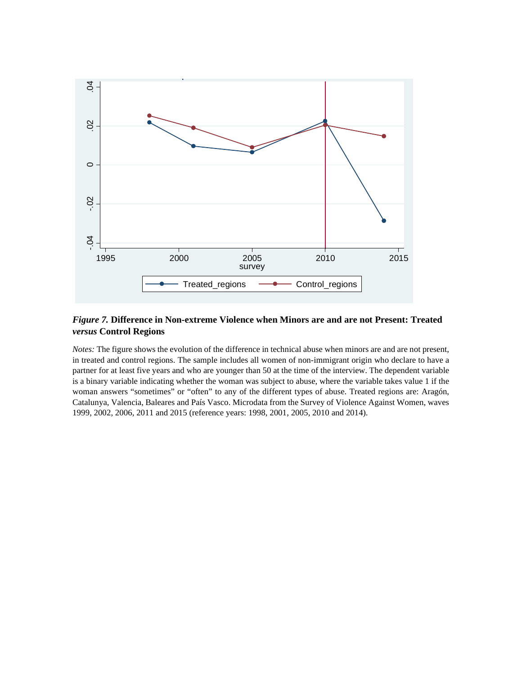

### *Figure 7.* **Difference in Non-extreme Violence when Minors are and are not Present: Treated**  *versus* **Control Regions**

*Notes:* The figure shows the evolution of the difference in technical abuse when minors are and are not present, in treated and control regions. The sample includes all women of non-immigrant origin who declare to have a partner for at least five years and who are younger than 50 at the time of the interview. The dependent variable is a binary variable indicating whether the woman was subject to abuse, where the variable takes value 1 if the woman answers "sometimes" or "often" to any of the different types of abuse. Treated regions are: Aragón, Catalunya, Valencia, Baleares and País Vasco. Microdata from the Survey of Violence Against Women, waves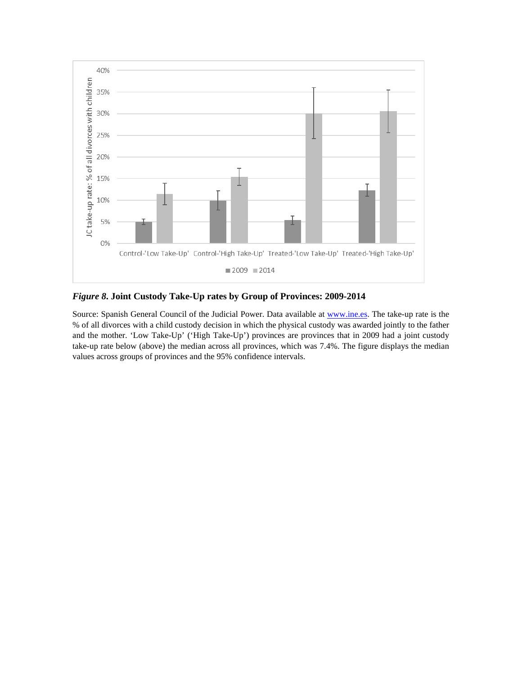

*Figure 8***. Joint Custody Take-Up rates by Group of Provinces: 2009-2014**

Source: Spanish General Council of the Judicial Power. Data available a[t www.ine.es.](http://www.ine.es/) The take-up rate is the % of all divorces with a child custody decision in which the physical custody was awarded jointly to the father and the mother. 'Low Take-Up' ('High Take-Up') provinces are provinces that in 2009 had a joint custody take-up rate below (above) the median across all provinces, which was 7.4%. The figure displays the median values across groups of provinces and the 95% confidence intervals.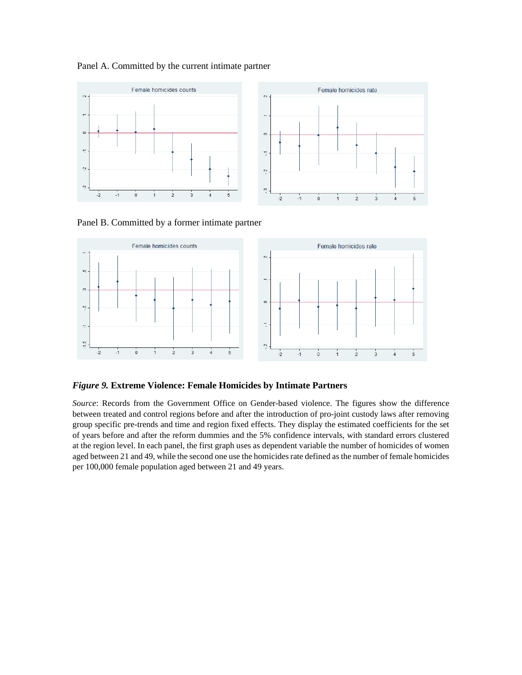#### Panel A. Committed by the current intimate partner



Panel B. Committed by a former intimate partner



*Figure 9.* **Extreme Violence: Female Homicides by Intimate Partners**

*Source*: Records from the Government Office on Gender-based violence. The figures show the difference between treated and control regions before and after the introduction of pro-joint custody laws after removing group specific pre-trends and time and region fixed effects. They display the estimated coefficients for the set of years before and after the reform dummies and the 5% confidence intervals, with standard errors clustered at the region level. In each panel, the first graph uses as dependent variable the number of homicides of women aged between 21 and 49, while the second one use the homicides rate defined as the number of female homicides per 100,000 female population aged between 21 and 49 years.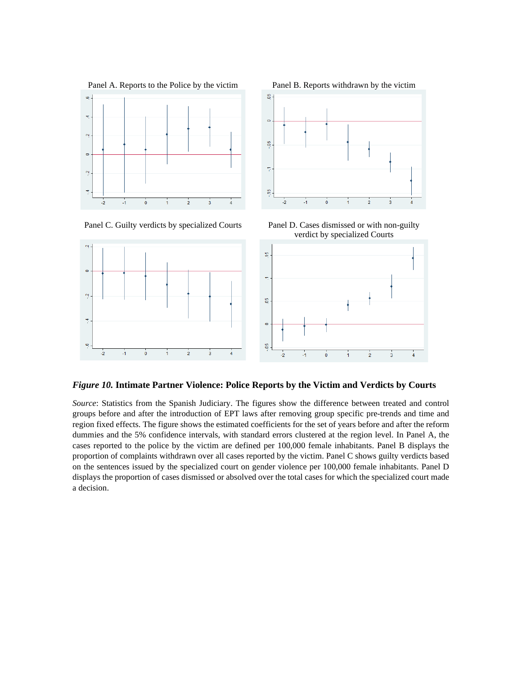



 $\circ$ 

 $\ddot{\mathbf{c}}$ 

ħ

œ,

Panel C. Guilty verdicts by specialized Courts Panel D. Cases dismissed or with non-guilty verdict by specialized Courts



*Figure 10.* **Intimate Partner Violence: Police Reports by the Victim and Verdicts by Courts**

*Source*: Statistics from the Spanish Judiciary. The figures show the difference between treated and control groups before and after the introduction of EPT laws after removing group specific pre-trends and time and region fixed effects. The figure shows the estimated coefficients for the set of years before and after the reform dummies and the 5% confidence intervals, with standard errors clustered at the region level. In Panel A, the cases reported to the police by the victim are defined per 100,000 female inhabitants. Panel B displays the proportion of complaints withdrawn over all cases reported by the victim. Panel C shows guilty verdicts based on the sentences issued by the specialized court on gender violence per 100,000 female inhabitants. Panel D displays the proportion of cases dismissed or absolved over the total cases for which the specialized court made a decision.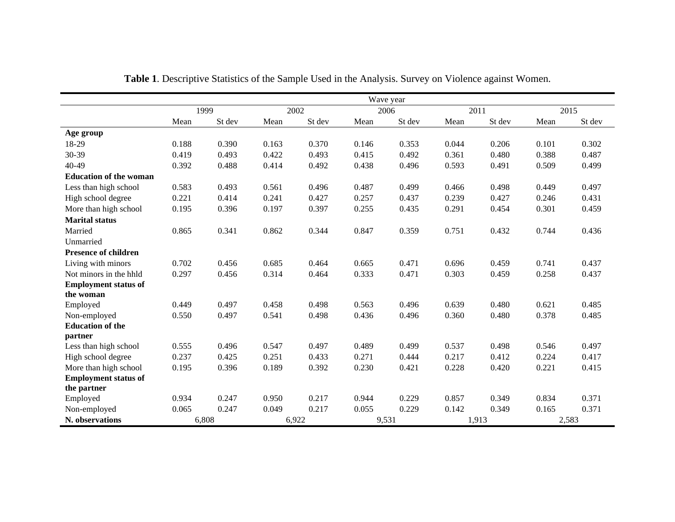|                               |       |        |       |        |       | Wave year |       |        |       |        |
|-------------------------------|-------|--------|-------|--------|-------|-----------|-------|--------|-------|--------|
|                               |       | 1999   |       | 2002   |       | 2006      | 2011  |        |       | 2015   |
|                               | Mean  | St dev | Mean  | St dev | Mean  | St dev    | Mean  | St dev | Mean  | St dev |
| Age group                     |       |        |       |        |       |           |       |        |       |        |
| 18-29                         | 0.188 | 0.390  | 0.163 | 0.370  | 0.146 | 0.353     | 0.044 | 0.206  | 0.101 | 0.302  |
| 30-39                         | 0.419 | 0.493  | 0.422 | 0.493  | 0.415 | 0.492     | 0.361 | 0.480  | 0.388 | 0.487  |
| 40-49                         | 0.392 | 0.488  | 0.414 | 0.492  | 0.438 | 0.496     | 0.593 | 0.491  | 0.509 | 0.499  |
| <b>Education of the woman</b> |       |        |       |        |       |           |       |        |       |        |
| Less than high school         | 0.583 | 0.493  | 0.561 | 0.496  | 0.487 | 0.499     | 0.466 | 0.498  | 0.449 | 0.497  |
| High school degree            | 0.221 | 0.414  | 0.241 | 0.427  | 0.257 | 0.437     | 0.239 | 0.427  | 0.246 | 0.431  |
| More than high school         | 0.195 | 0.396  | 0.197 | 0.397  | 0.255 | 0.435     | 0.291 | 0.454  | 0.301 | 0.459  |
| <b>Marital status</b>         |       |        |       |        |       |           |       |        |       |        |
| Married                       | 0.865 | 0.341  | 0.862 | 0.344  | 0.847 | 0.359     | 0.751 | 0.432  | 0.744 | 0.436  |
| Unmarried                     |       |        |       |        |       |           |       |        |       |        |
| <b>Presence of children</b>   |       |        |       |        |       |           |       |        |       |        |
| Living with minors            | 0.702 | 0.456  | 0.685 | 0.464  | 0.665 | 0.471     | 0.696 | 0.459  | 0.741 | 0.437  |
| Not minors in the hhld        | 0.297 | 0.456  | 0.314 | 0.464  | 0.333 | 0.471     | 0.303 | 0.459  | 0.258 | 0.437  |
| <b>Employment status of</b>   |       |        |       |        |       |           |       |        |       |        |
| the woman                     |       |        |       |        |       |           |       |        |       |        |
| Employed                      | 0.449 | 0.497  | 0.458 | 0.498  | 0.563 | 0.496     | 0.639 | 0.480  | 0.621 | 0.485  |
| Non-employed                  | 0.550 | 0.497  | 0.541 | 0.498  | 0.436 | 0.496     | 0.360 | 0.480  | 0.378 | 0.485  |
| <b>Education of the</b>       |       |        |       |        |       |           |       |        |       |        |
| partner                       |       |        |       |        |       |           |       |        |       |        |
| Less than high school         | 0.555 | 0.496  | 0.547 | 0.497  | 0.489 | 0.499     | 0.537 | 0.498  | 0.546 | 0.497  |
| High school degree            | 0.237 | 0.425  | 0.251 | 0.433  | 0.271 | 0.444     | 0.217 | 0.412  | 0.224 | 0.417  |
| More than high school         | 0.195 | 0.396  | 0.189 | 0.392  | 0.230 | 0.421     | 0.228 | 0.420  | 0.221 | 0.415  |
| <b>Employment status of</b>   |       |        |       |        |       |           |       |        |       |        |
| the partner                   | 0.934 | 0.247  | 0.950 | 0.217  | 0.944 | 0.229     | 0.857 | 0.349  | 0.834 | 0.371  |
| Employed<br>Non-employed      | 0.065 | 0.247  | 0.049 | 0.217  | 0.055 | 0.229     | 0.142 | 0.349  | 0.165 | 0.371  |
| N. observations               |       | 6.808  |       | 6,922  |       |           |       | 1,913  |       | 2,583  |
|                               |       |        |       |        |       | 9,531     |       |        |       |        |

**Table 1**. Descriptive Statistics of the Sample Used in the Analysis. Survey on Violence against Women.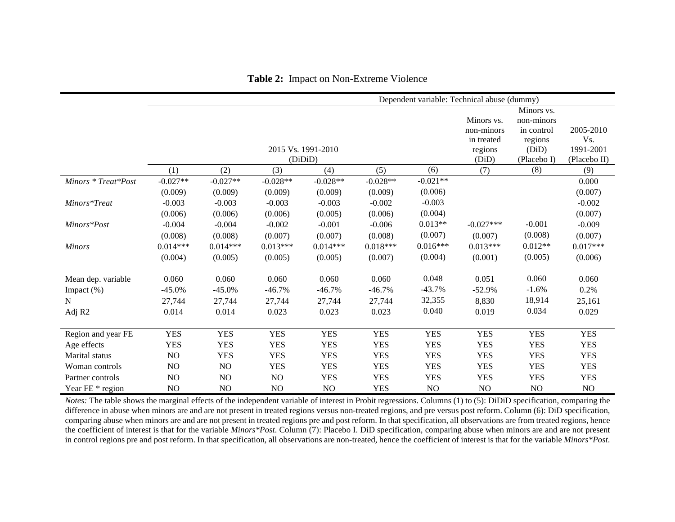|                     | Dependent variable: Technical abuse (dummy) |            |            |                               |            |            |                                                            |                                                                           |                                               |
|---------------------|---------------------------------------------|------------|------------|-------------------------------|------------|------------|------------------------------------------------------------|---------------------------------------------------------------------------|-----------------------------------------------|
|                     |                                             |            |            | 2015 Vs. 1991-2010<br>(DiDiD) |            |            | Minors vs.<br>non-minors<br>in treated<br>regions<br>(DiD) | Minors vs.<br>non-minors<br>in control<br>regions<br>(DiD)<br>(Placebo I) | 2005-2010<br>Vs.<br>1991-2001<br>(Placebo II) |
|                     | (1)                                         | (2)        | (3)        | (4)                           | (5)        | (6)        | (7)                                                        | (8)                                                                       | (9)                                           |
| Minors * Treat*Post | $-0.027**$                                  | $-0.027**$ | $-0.028**$ | $-0.028**$                    | $-0.028**$ | $-0.021**$ |                                                            |                                                                           | 0.000                                         |
|                     | (0.009)                                     | (0.009)    | (0.009)    | (0.009)                       | (0.009)    | (0.006)    |                                                            |                                                                           | (0.007)                                       |
| Minors*Treat        | $-0.003$                                    | $-0.003$   | $-0.003$   | $-0.003$                      | $-0.002$   | $-0.003$   |                                                            |                                                                           | $-0.002$                                      |
|                     | (0.006)                                     | (0.006)    | (0.006)    | (0.005)                       | (0.006)    | (0.004)    |                                                            |                                                                           | (0.007)                                       |
| Minors*Post         | $-0.004$                                    | $-0.004$   | $-0.002$   | $-0.001$                      | $-0.006$   | $0.013**$  | $-0.027***$                                                | $-0.001$                                                                  | $-0.009$                                      |
|                     | (0.008)                                     | (0.008)    | (0.007)    | (0.007)                       | (0.008)    | (0.007)    | (0.007)                                                    | (0.008)                                                                   | (0.007)                                       |
| <b>Minors</b>       | $0.014***$                                  | $0.014***$ | $0.013***$ | $0.014***$                    | $0.018***$ | $0.016***$ | $0.013***$                                                 | $0.012**$                                                                 | $0.017***$                                    |
|                     | (0.004)                                     | (0.005)    | (0.005)    | (0.005)                       | (0.007)    | (0.004)    | (0.001)                                                    | (0.005)                                                                   | (0.006)                                       |
| Mean dep. variable  | 0.060                                       | 0.060      | 0.060      | 0.060                         | 0.060      | 0.048      | 0.051                                                      | 0.060                                                                     | 0.060                                         |
| Impact $(\%)$       | $-45.0%$                                    | $-45.0%$   | $-46.7%$   | $-46.7%$                      | $-46.7%$   | $-43.7%$   | $-52.9%$                                                   | $-1.6%$                                                                   | 0.2%                                          |
| $\mathbf N$         | 27,744                                      | 27,744     | 27,744     | 27,744                        | 27,744     | 32,355     | 8,830                                                      | 18,914                                                                    | 25,161                                        |
| Adj R2              | 0.014                                       | 0.014      | 0.023      | 0.023                         | 0.023      | 0.040      | 0.019                                                      | 0.034                                                                     | 0.029                                         |
| Region and year FE  | <b>YES</b>                                  | <b>YES</b> | <b>YES</b> | <b>YES</b>                    | <b>YES</b> | <b>YES</b> | <b>YES</b>                                                 | <b>YES</b>                                                                | <b>YES</b>                                    |
| Age effects         | <b>YES</b>                                  | <b>YES</b> | <b>YES</b> | <b>YES</b>                    | <b>YES</b> | <b>YES</b> | <b>YES</b>                                                 | <b>YES</b>                                                                | <b>YES</b>                                    |
| Marital status      | NO                                          | <b>YES</b> | <b>YES</b> | <b>YES</b>                    | <b>YES</b> | <b>YES</b> | <b>YES</b>                                                 | <b>YES</b>                                                                | <b>YES</b>                                    |
| Woman controls      | NO                                          | NO         | <b>YES</b> | <b>YES</b>                    | <b>YES</b> | <b>YES</b> | <b>YES</b>                                                 | <b>YES</b>                                                                | <b>YES</b>                                    |
|                     | NO                                          | NO         | NO         | <b>YES</b>                    | <b>YES</b> | <b>YES</b> | <b>YES</b>                                                 | <b>YES</b>                                                                | <b>YES</b>                                    |
| Partner controls    |                                             |            |            |                               |            |            |                                                            |                                                                           |                                               |
| Year FE * region    | NO                                          | NO         | NO         | NO.                           | <b>YES</b> | NO         | NO                                                         | NO                                                                        | NO                                            |

**Table 2:** Impact on Non-Extreme Violence

*Notes*: The table shows the marginal effects of the independent variable of interest in Probit regressions. Columns (1) to (5): DiDiD specification, comparing the difference in abuse when minors are and are not present in treated regions versus non-treated regions, and pre versus post reform. Column (6): DiD specification, comparing abuse when minors are and are not present in treated regions pre and post reform. In that specification, all observations are from treated regions, hence the coefficient of interest is that for the variable *Minors\*Post*. Column (7): Placebo I. DiD specification, comparing abuse when minors are and are not present in control regions pre and post reform. In that specification, all observations are non-treated, hence the coefficient of interest is that for the variable *Minors\*Post*.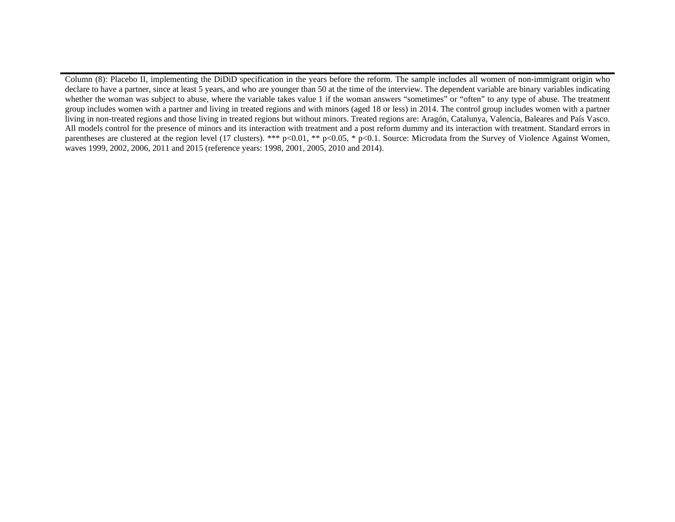Column (8): Placebo II, implementing the DiDiD specification in the years before the reform. The sample includes all women of non-immigrant origin who declare to have a partner, since at least 5 years, and who are younger than 50 at the time of the interview. The dependent variable are binary variables indicating whether the woman was subject to abuse, where the variable takes value 1 if the woman answers "sometimes" or "often" to any type of abuse. The treatment group includes women with a partner and living in treated regions and with minors (aged 18 or less) in 2014. The control group includes women with a partner living in non-treated regions and those living in treated regions but without minors. Treated regions are: Aragón, Catalunya, Valencia, Baleares and País Vasco. All models control for the presence of minors and its interaction with treatment and a post reform dummy and its interaction with treatment. Standard errors in parentheses are clustered at the region level (17 clusters). \*\*\* p<0.01, \*\* p<0.05, \* p<0.1. Source: Microdata from the Survey of Violence Against Women, waves 1999, 2002, 2006, 2011 and 2015 (reference years: 1998, 2001, 2005, 2010 and 2014).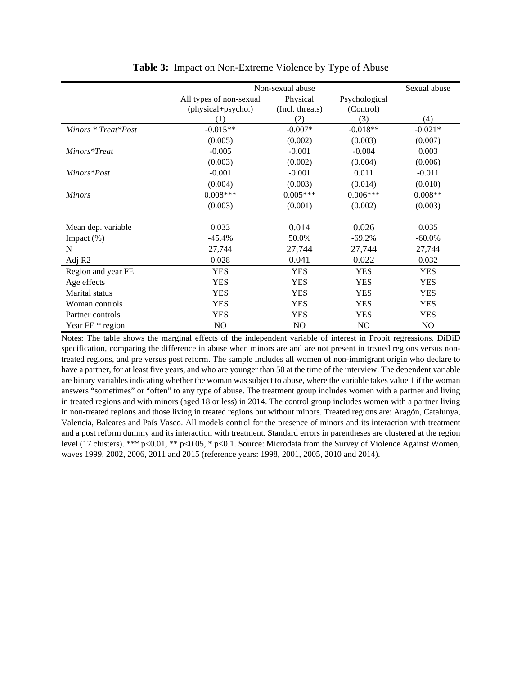|                     |                                               | Non-sexual abuse            |                            |            |  |  |  |  |
|---------------------|-----------------------------------------------|-----------------------------|----------------------------|------------|--|--|--|--|
|                     | All types of non-sexual<br>(physical+psycho.) | Physical<br>(Incl. threats) | Psychological<br>(Control) |            |  |  |  |  |
|                     | (1)                                           | (2)                         | (3)                        | (4)        |  |  |  |  |
| Minors * Treat*Post | $-0.015**$                                    | $-0.007*$                   | $-0.018**$                 | $-0.021*$  |  |  |  |  |
|                     | (0.005)                                       | (0.002)                     | (0.003)                    | (0.007)    |  |  |  |  |
| Minors*Treat        | $-0.005$                                      | $-0.001$                    | $-0.004$                   | 0.003      |  |  |  |  |
|                     | (0.003)                                       | (0.002)                     | (0.004)                    | (0.006)    |  |  |  |  |
| Minors*Post         | $-0.001$                                      | $-0.001$                    | 0.011                      | $-0.011$   |  |  |  |  |
|                     | (0.004)                                       | (0.003)                     | (0.014)                    | (0.010)    |  |  |  |  |
| <b>Minors</b>       | $0.008***$                                    | $0.005***$                  | $0.006***$                 | $0.008**$  |  |  |  |  |
|                     | (0.003)                                       | (0.001)                     | (0.002)                    | (0.003)    |  |  |  |  |
| Mean dep. variable  | 0.033                                         | 0.014                       | 0.026                      | 0.035      |  |  |  |  |
| Impact $(\%)$       | $-45.4%$                                      | 50.0%                       | $-69.2%$                   | $-60.0\%$  |  |  |  |  |
| N                   | 27,744                                        | 27,744                      | 27,744                     | 27,744     |  |  |  |  |
| Adj R2              | 0.028                                         | 0.041                       | 0.022                      | 0.032      |  |  |  |  |
| Region and year FE  | <b>YES</b>                                    | <b>YES</b>                  | <b>YES</b>                 | <b>YES</b> |  |  |  |  |
| Age effects         | <b>YES</b>                                    | <b>YES</b>                  | <b>YES</b>                 | <b>YES</b> |  |  |  |  |
| Marital status      | <b>YES</b>                                    | <b>YES</b>                  | <b>YES</b>                 | <b>YES</b> |  |  |  |  |
| Woman controls      | <b>YES</b>                                    | <b>YES</b>                  | <b>YES</b>                 | <b>YES</b> |  |  |  |  |
| Partner controls    | <b>YES</b>                                    | <b>YES</b>                  | <b>YES</b>                 | <b>YES</b> |  |  |  |  |
| Year FE * region    | NO                                            | NO                          | NO                         | NO         |  |  |  |  |

**Table 3:** Impact on Non-Extreme Violence by Type of Abuse

Notes: The table shows the marginal effects of the independent variable of interest in Probit regressions. DiDiD specification, comparing the difference in abuse when minors are and are not present in treated regions versus nontreated regions, and pre versus post reform. The sample includes all women of non-immigrant origin who declare to have a partner, for at least five years, and who are younger than 50 at the time of the interview. The dependent variable are binary variables indicating whether the woman was subject to abuse, where the variable takes value 1 if the woman answers "sometimes" or "often" to any type of abuse. The treatment group includes women with a partner and living in treated regions and with minors (aged 18 or less) in 2014. The control group includes women with a partner living in non-treated regions and those living in treated regions but without minors. Treated regions are: Aragón, Catalunya, Valencia, Baleares and País Vasco. All models control for the presence of minors and its interaction with treatment and a post reform dummy and its interaction with treatment. Standard errors in parentheses are clustered at the region level (17 clusters). \*\*\* p<0.01, \*\* p<0.05, \* p<0.1. Source: Microdata from the Survey of Violence Against Women, waves 1999, 2002, 2006, 2011 and 2015 (reference years: 1998, 2001, 2005, 2010 and 2014).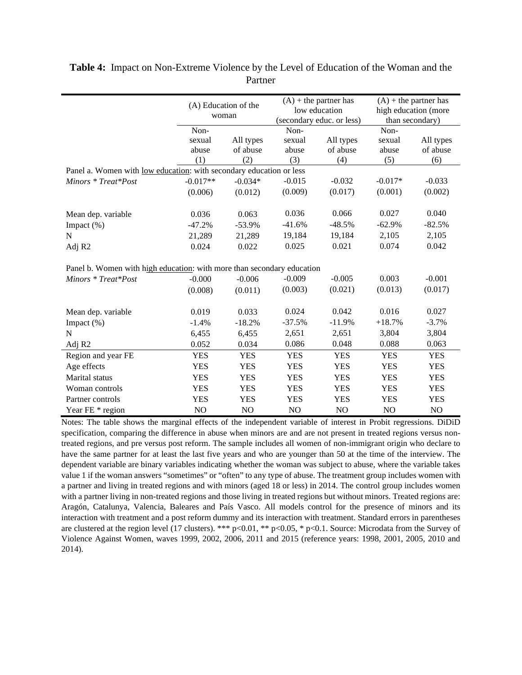|                                                                             | (A) Education of the<br>woman |            |            | $(A)$ + the partner has<br>low education<br>(secondary educ. or less) | $(A)$ + the partner has<br>high education (more<br>than secondary) |            |  |  |
|-----------------------------------------------------------------------------|-------------------------------|------------|------------|-----------------------------------------------------------------------|--------------------------------------------------------------------|------------|--|--|
|                                                                             | Non-                          |            | Non-       |                                                                       | Non-                                                               |            |  |  |
|                                                                             | sexual                        | All types  | sexual     | All types                                                             | sexual                                                             | All types  |  |  |
|                                                                             | abuse                         | of abuse   | abuse      | of abuse                                                              | abuse                                                              | of abuse   |  |  |
|                                                                             | (1)                           | (2)        | (3)        | (4)                                                                   | (5)                                                                | (6)        |  |  |
| Panel a. Women with <u>low education</u> : with secondary education or less |                               |            |            |                                                                       |                                                                    |            |  |  |
| Minors * Treat*Post                                                         | $-0.017**$                    | $-0.034*$  | $-0.015$   | $-0.032$                                                              | $-0.017*$                                                          | $-0.033$   |  |  |
|                                                                             | (0.006)                       | (0.012)    | (0.009)    | (0.017)                                                               | (0.001)                                                            | (0.002)    |  |  |
|                                                                             |                               |            |            |                                                                       |                                                                    |            |  |  |
| Mean dep. variable                                                          | 0.036                         | 0.063      | 0.036      | 0.066                                                                 | 0.027                                                              | 0.040      |  |  |
| Impact (%)                                                                  | $-47.2%$                      | $-53.9%$   | $-41.6%$   | $-48.5%$                                                              | $-62.9%$                                                           | $-82.5%$   |  |  |
| N                                                                           | 21,289                        | 21,289     | 19,184     | 19,184                                                                | 2,105                                                              | 2,105      |  |  |
| Adj R <sub>2</sub>                                                          | 0.024                         | 0.022      | 0.025      | 0.021                                                                 | 0.074                                                              | 0.042      |  |  |
| Panel b. Women with high education: with more than secondary education      |                               |            |            |                                                                       |                                                                    |            |  |  |
| Minors * Treat*Post                                                         | $-0.000$                      | $-0.006$   | $-0.009$   | $-0.005$                                                              | 0.003                                                              | $-0.001$   |  |  |
|                                                                             | (0.008)                       | (0.011)    | (0.003)    | (0.021)                                                               | (0.013)                                                            | (0.017)    |  |  |
|                                                                             |                               |            |            |                                                                       |                                                                    |            |  |  |
| Mean dep. variable                                                          | 0.019                         | 0.033      | 0.024      | 0.042                                                                 | 0.016                                                              | 0.027      |  |  |
| Impact (%)                                                                  | $-1.4%$                       | $-18.2%$   | $-37.5%$   | $-11.9%$                                                              | $+18.7%$                                                           | $-3.7%$    |  |  |
| $\mathbf N$                                                                 | 6,455                         | 6,455      | 2,651      | 2,651                                                                 | 3,804                                                              | 3,804      |  |  |
| Adj R <sub>2</sub>                                                          | 0.052                         | 0.034      | 0.086      | 0.048                                                                 | 0.088                                                              | 0.063      |  |  |
| Region and year FE                                                          | <b>YES</b>                    | <b>YES</b> | <b>YES</b> | <b>YES</b>                                                            | <b>YES</b>                                                         | <b>YES</b> |  |  |
| Age effects                                                                 | <b>YES</b>                    | <b>YES</b> | <b>YES</b> | <b>YES</b>                                                            | <b>YES</b>                                                         | <b>YES</b> |  |  |
| Marital status                                                              | <b>YES</b>                    | <b>YES</b> | <b>YES</b> | <b>YES</b>                                                            | <b>YES</b>                                                         | <b>YES</b> |  |  |
| Woman controls                                                              | <b>YES</b>                    | <b>YES</b> | <b>YES</b> | <b>YES</b>                                                            | <b>YES</b>                                                         | <b>YES</b> |  |  |
| Partner controls                                                            | <b>YES</b>                    | <b>YES</b> | <b>YES</b> | <b>YES</b>                                                            | <b>YES</b>                                                         | <b>YES</b> |  |  |
| Year FE * region                                                            | NO                            | NO         | NO         | NO                                                                    | NO                                                                 | NO         |  |  |

# **Table 4:** Impact on Non-Extreme Violence by the Level of Education of the Woman and the Partner

Notes: The table shows the marginal effects of the independent variable of interest in Probit regressions. DiDiD specification, comparing the difference in abuse when minors are and are not present in treated regions versus nontreated regions, and pre versus post reform. The sample includes all women of non-immigrant origin who declare to have the same partner for at least the last five years and who are younger than 50 at the time of the interview. The dependent variable are binary variables indicating whether the woman was subject to abuse, where the variable takes value 1 if the woman answers "sometimes" or "often" to any type of abuse. The treatment group includes women with a partner and living in treated regions and with minors (aged 18 or less) in 2014. The control group includes women with a partner living in non-treated regions and those living in treated regions but without minors. Treated regions are: Aragón, Catalunya, Valencia, Baleares and País Vasco. All models control for the presence of minors and its interaction with treatment and a post reform dummy and its interaction with treatment. Standard errors in parentheses are clustered at the region level (17 clusters). \*\*\* p<0.01, \*\* p<0.05, \* p<0.1. Source: Microdata from the Survey of Violence Against Women, waves 1999, 2002, 2006, 2011 and 2015 (reference years: 1998, 2001, 2005, 2010 and 2014).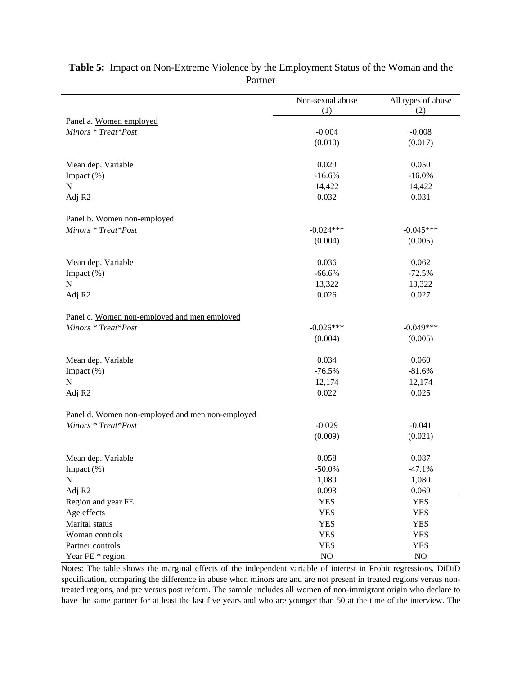|                                                                     | Non-sexual abuse | All types of abuse |
|---------------------------------------------------------------------|------------------|--------------------|
| Panel a. Women employed                                             | (1)              | (2)                |
| Minors * Treat*Post                                                 | $-0.004$         | $-0.008$           |
|                                                                     | (0.010)          | (0.017)            |
|                                                                     |                  |                    |
| Mean dep. Variable                                                  | 0.029            | 0.050              |
| Impact (%)                                                          | $-16.6%$         | $-16.0%$           |
| ${\bf N}$                                                           | 14,422           | 14,422             |
| Adj R2                                                              | 0.032            | 0.031              |
| Panel b. Women non-employed                                         |                  |                    |
| Minors * Treat*Post                                                 | $-0.024***$      | $-0.045***$        |
|                                                                     | (0.004)          | (0.005)            |
|                                                                     |                  |                    |
| Mean dep. Variable                                                  | 0.036            | 0.062              |
| Impact (%)                                                          | $-66.6%$         | $-72.5%$           |
| ${\bf N}$                                                           | 13,322           | 13,322             |
| Adj R2                                                              | 0.026            | 0.027              |
|                                                                     |                  |                    |
| Panel c. Women non-employed and men employed<br>Minors * Treat*Post | $-0.026***$      | $-0.049***$        |
|                                                                     | (0.004)          | (0.005)            |
|                                                                     |                  |                    |
| Mean dep. Variable                                                  | 0.034            | 0.060              |
| Impact (%)                                                          | $-76.5%$         | $-81.6%$           |
| ${\bf N}$                                                           | 12,174           | 12,174             |
| Adj R2                                                              | 0.022            | 0.025              |
| Panel d. Women non-employed and men non-employed                    |                  |                    |
| Minors * Treat*Post                                                 | $-0.029$         | $-0.041$           |
|                                                                     | (0.009)          | (0.021)            |
|                                                                     |                  |                    |
| Mean dep. Variable                                                  | 0.058            | 0.087              |
| Impact (%)                                                          | $-50.0\%$        | $-47.1%$           |
| ${\bf N}$                                                           | 1,080            | 1,080              |
| Adj R <sub>2</sub>                                                  | 0.093            | 0.069              |
| Region and year FE                                                  | <b>YES</b>       | <b>YES</b>         |
| Age effects                                                         | <b>YES</b>       | <b>YES</b>         |
| Marital status                                                      | <b>YES</b>       | <b>YES</b>         |
| Woman controls                                                      | <b>YES</b>       | <b>YES</b>         |
| Partner controls                                                    | <b>YES</b>       | <b>YES</b>         |
| Year FE * region                                                    | $\rm NO$         | $NO$               |

# **Table 5:** Impact on Non-Extreme Violence by the Employment Status of the Woman and the Partner

Notes: The table shows the marginal effects of the independent variable of interest in Probit regressions. DiDiD specification, comparing the difference in abuse when minors are and are not present in treated regions versus nontreated regions, and pre versus post reform. The sample includes all women of non-immigrant origin who declare to have the same partner for at least the last five years and who are younger than 50 at the time of the interview. The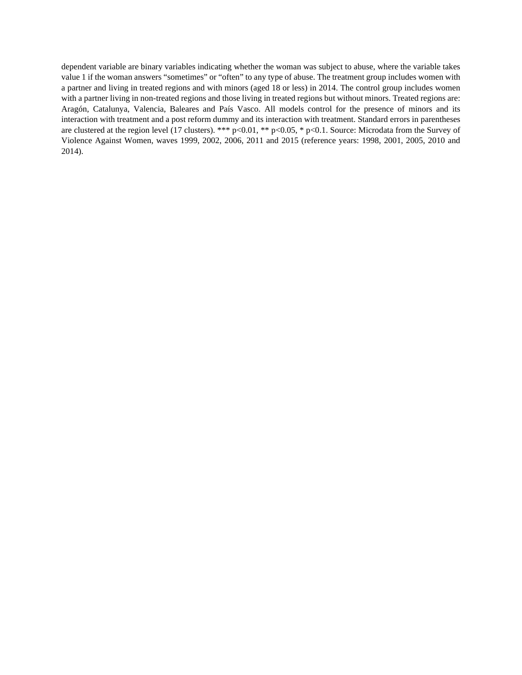dependent variable are binary variables indicating whether the woman was subject to abuse, where the variable takes value 1 if the woman answers "sometimes" or "often" to any type of abuse. The treatment group includes women with a partner and living in treated regions and with minors (aged 18 or less) in 2014. The control group includes women with a partner living in non-treated regions and those living in treated regions but without minors. Treated regions are: Aragón, Catalunya, Valencia, Baleares and País Vasco. All models control for the presence of minors and its interaction with treatment and a post reform dummy and its interaction with treatment. Standard errors in parentheses are clustered at the region level (17 clusters). \*\*\* p<0.01, \*\* p<0.05, \* p<0.1. Source: Microdata from the Survey of Violence Against Women, waves 1999, 2002, 2006, 2011 and 2015 (reference years: 1998, 2001, 2005, 2010 and 2014).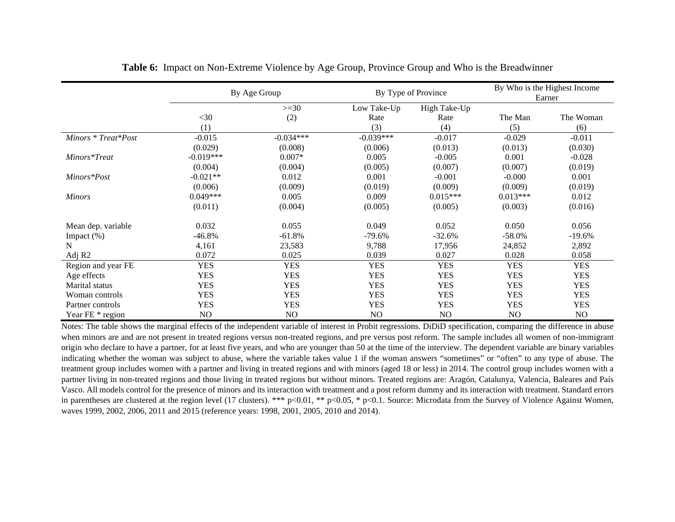|                     | By Age Group |             |             | By Type of Province | By Who is the Highest Income<br>Earner |                |  |
|---------------------|--------------|-------------|-------------|---------------------|----------------------------------------|----------------|--|
|                     |              | $>=30$      | Low Take-Up | High Take-Up        |                                        |                |  |
|                     | $<$ 30       | (2)         | Rate        | Rate                | The Man                                | The Woman      |  |
|                     | (1)          |             | (3)         | (4)                 | (5)                                    | (6)            |  |
| Minors * Treat*Post | $-0.015$     | $-0.034***$ | $-0.039***$ | $-0.017$            | $-0.029$                               | $-0.011$       |  |
|                     | (0.029)      | (0.008)     | (0.006)     | (0.013)             | (0.013)                                | (0.030)        |  |
| Minors*Treat        | $-0.019***$  | $0.007*$    | 0.005       | $-0.005$            | 0.001                                  | $-0.028$       |  |
|                     | (0.004)      | (0.004)     | (0.005)     | (0.007)             | (0.007)                                | (0.019)        |  |
| Minors*Post         | $-0.021**$   | 0.012       | 0.001       | $-0.001$            | $-0.000$                               | 0.001          |  |
|                     | (0.006)      | (0.009)     | (0.019)     | (0.009)             | (0.009)                                | (0.019)        |  |
| <b>Minors</b>       | $0.049***$   | 0.005       | 0.009       | $0.015***$          | $0.013***$                             | 0.012          |  |
|                     | (0.011)      | (0.004)     | (0.005)     | (0.005)             | (0.003)                                | (0.016)        |  |
| Mean dep. variable  | 0.032        | 0.055       | 0.049       | 0.052               | 0.050                                  | 0.056          |  |
| Impact (%)          | $-46.8%$     | $-61.8%$    | $-79.6%$    | $-32.6%$            | $-58.0%$                               | $-19.6%$       |  |
| N                   | 4,161        | 23,583      | 9,788       | 17,956              | 24,852                                 | 2,892          |  |
| Adj R <sub>2</sub>  | 0.072        | 0.025       | 0.039       | 0.027               | 0.028                                  | 0.058          |  |
| Region and year FE  | <b>YES</b>   | <b>YES</b>  | <b>YES</b>  | <b>YES</b>          | <b>YES</b>                             | <b>YES</b>     |  |
| Age effects         | <b>YES</b>   | <b>YES</b>  | <b>YES</b>  | <b>YES</b>          | <b>YES</b>                             | <b>YES</b>     |  |
| Marital status      | <b>YES</b>   | <b>YES</b>  | <b>YES</b>  | <b>YES</b>          | <b>YES</b>                             | <b>YES</b>     |  |
| Woman controls      | <b>YES</b>   | <b>YES</b>  | <b>YES</b>  | <b>YES</b>          | <b>YES</b>                             | <b>YES</b>     |  |
| Partner controls    | <b>YES</b>   | <b>YES</b>  | <b>YES</b>  | <b>YES</b>          | <b>YES</b>                             | <b>YES</b>     |  |
| Year FE * region    | NO           | NO          | NO          | NO.                 | NO                                     | N <sub>O</sub> |  |

**Table 6:** Impact on Non-Extreme Violence by Age Group, Province Group and Who is the Breadwinner

Notes: The table shows the marginal effects of the independent variable of interest in Probit regressions. DiDiD specification, comparing the difference in abuse when minors are and are not present in treated regions versus non-treated regions, and pre versus post reform. The sample includes all women of non-immigrant origin who declare to have a partner, for at least five years, and who are younger than 50 at the time of the interview. The dependent variable are binary variables indicating whether the woman was subject to abuse, where the variable takes value 1 if the woman answers "sometimes" or "often" to any type of abuse. The treatment group includes women with a partner and living in treated regions and with minors (aged 18 or less) in 2014. The control group includes women with a partner living in non-treated regions and those living in treated regions but without minors. Treated regions are: Aragón, Catalunya, Valencia, Baleares and País Vasco. All models control for the presence of minors and its interaction with treatment and a post reform dummy and its interaction with treatment. Standard errors in parentheses are clustered at the region level (17 clusters). \*\*\* p<0.01, \*\* p<0.05, \* p<0.1. Source: Microdata from the Survey of Violence Against Women, waves 1999, 2002, 2006, 2011 and 2015 (reference years: 1998, 2001, 2005, 2010 and 2014).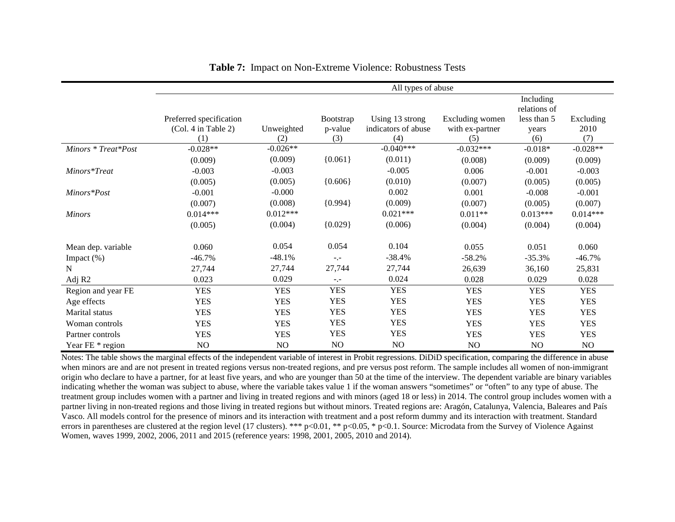|                     | All types of abuse      |            |                  |                     |                 |                           |            |  |
|---------------------|-------------------------|------------|------------------|---------------------|-----------------|---------------------------|------------|--|
|                     |                         |            |                  |                     |                 | Including<br>relations of |            |  |
|                     | Preferred specification |            | <b>Bootstrap</b> | Using 13 strong     | Excluding women | less than 5               | Excluding  |  |
|                     | (Col. 4 in Table 2)     | Unweighted | p-value          | indicators of abuse | with ex-partner | years                     | 2010       |  |
|                     | (1)                     | (2)        | (3)              | (4)                 | (5)             | (6)                       | (7)        |  |
| Minors * Treat*Post | $-0.028**$              | $-0.026**$ |                  | $-0.040***$         | $-0.032***$     | $-0.018*$                 | $-0.028**$ |  |
|                     | (0.009)                 | (0.009)    | ${0.061}$        | (0.011)             | (0.008)         | (0.009)                   | (0.009)    |  |
| Minors*Treat        | $-0.003$                | $-0.003$   |                  | $-0.005$            | 0.006           | $-0.001$                  | $-0.003$   |  |
|                     | (0.005)                 | (0.005)    | ${0.606}$        | (0.010)             | (0.007)         | (0.005)                   | (0.005)    |  |
| Minors*Post         | $-0.001$                | $-0.000$   |                  | 0.002               | 0.001           | $-0.008$                  | $-0.001$   |  |
|                     | (0.007)                 | (0.008)    | ${0.994}$        | (0.009)             | (0.007)         | (0.005)                   | (0.007)    |  |
| <b>Minors</b>       | $0.014***$              | $0.012***$ |                  | $0.021***$          | $0.011**$       | $0.013***$                | $0.014***$ |  |
|                     | (0.005)                 | (0.004)    | ${0.029}$        | (0.006)             | (0.004)         | (0.004)                   | (0.004)    |  |
| Mean dep. variable  | 0.060                   | 0.054      | 0.054            | 0.104               | 0.055           | 0.051                     | 0.060      |  |
| Impact (%)          | $-46.7%$                | $-48.1%$   | $-1$             | $-38.4%$            | $-58.2%$        | $-35.3%$                  | $-46.7\%$  |  |
| N                   | 27,744                  | 27,744     | 27,744           | 27,744              | 26,639          | 36,160                    | 25,831     |  |
| Adj R2              | 0.023                   | 0.029      | $-,-$            | 0.024               | 0.028           | 0.029                     | 0.028      |  |
| Region and year FE  | <b>YES</b>              | <b>YES</b> | <b>YES</b>       | <b>YES</b>          | <b>YES</b>      | <b>YES</b>                | <b>YES</b> |  |
| Age effects         | <b>YES</b>              | <b>YES</b> | <b>YES</b>       | <b>YES</b>          | <b>YES</b>      | <b>YES</b>                | <b>YES</b> |  |
| Marital status      | <b>YES</b>              | <b>YES</b> | <b>YES</b>       | <b>YES</b>          | <b>YES</b>      | <b>YES</b>                | <b>YES</b> |  |
| Woman controls      | <b>YES</b>              | <b>YES</b> | <b>YES</b>       | <b>YES</b>          | <b>YES</b>      | <b>YES</b>                | <b>YES</b> |  |
| Partner controls    | <b>YES</b>              | <b>YES</b> | <b>YES</b>       | <b>YES</b>          | <b>YES</b>      | <b>YES</b>                | <b>YES</b> |  |
| Year FE * region    | NO                      | NO         | NO.              | NO                  | NO              | NO                        | NO         |  |

**Table 7:** Impact on Non-Extreme Violence: Robustness Tests

Notes: The table shows the marginal effects of the independent variable of interest in Probit regressions. DiDiD specification, comparing the difference in abuse when minors are and are not present in treated regions versus non-treated regions, and pre versus post reform. The sample includes all women of non-immigrant origin who declare to have a partner, for at least five years, and who are younger than 50 at the time of the interview. The dependent variable are binary variables indicating whether the woman was subject to abuse, where the variable takes value 1 if the woman answers "sometimes" or "often" to any type of abuse. The treatment group includes women with a partner and living in treated regions and with minors (aged 18 or less) in 2014. The control group includes women with a partner living in non-treated regions and those living in treated regions but without minors. Treated regions are: Aragón, Catalunya, Valencia, Baleares and País Vasco. All models control for the presence of minors and its interaction with treatment and a post reform dummy and its interaction with treatment. Standard errors in parentheses are clustered at the region level (17 clusters). \*\*\* p<0.01, \*\* p<0.05, \* p<0.1. Source: Microdata from the Survey of Violence Against Women, waves 1999, 2002, 2006, 2011 and 2015 (reference years: 1998, 2001, 2005, 2010 and 2014).